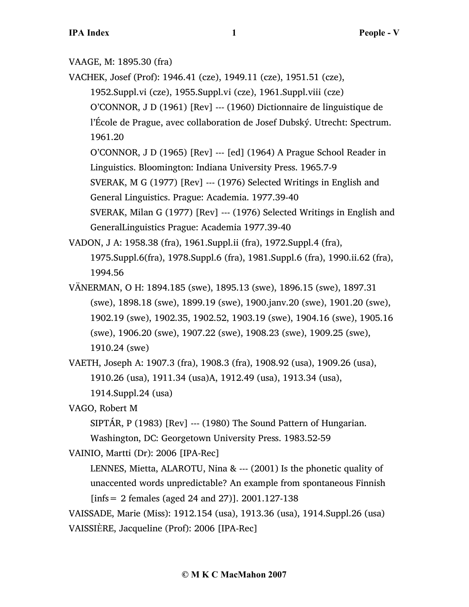VAAGE, M: 1895.30 (fra)

- VACHEK, Josef (Prof): 1946.41 (cze), 1949.11 (cze), 1951.51 (cze), 1952.Suppl.vi (cze), 1955.Suppl.vi (cze), 1961.Suppl.viii (cze) O'CONNOR, J D (1961) [Rev] --- (1960) Dictionnaire de linguistique de l'École de Prague, avec collaboration de Josef Dubský. Utrecht: Spectrum. 1961.20 O'CONNOR, J D (1965) [Rev] --- [ed] (1964) A Prague School Reader in Linguistics. Bloomington: Indiana University Press. 1965.7-9 SVERAK, M G (1977) [Rev] --- (1976) Selected Writings in English and General Linguistics. Prague: Academia. 1977.39-40 SVERAK, Milan G (1977) [Rev] --- (1976) Selected Writings in English and GeneralLinguistics Prague: Academia 1977.39-40
- VADON, J A: 1958.38 (fra), 1961.Suppl.ii (fra), 1972.Suppl.4 (fra), 1975.Suppl.6(fra), 1978.Suppl.6 (fra), 1981.Suppl.6 (fra), 1990.ii.62 (fra), 1994.56
- VÄNERMAN, O H: 1894.185 (swe), 1895.13 (swe), 1896.15 (swe), 1897.31 (swe), 1898.18 (swe), 1899.19 (swe), 1900.janv.20 (swe), 1901.20 (swe), 1902.19 (swe), 1902.35, 1902.52, 1903.19 (swe), 1904.16 (swe), 1905.16 (swe), 1906.20 (swe), 1907.22 (swe), 1908.23 (swe), 1909.25 (swe), 1910.24 (swe)

VAETH, Joseph A: 1907.3 (fra), 1908.3 (fra), 1908.92 (usa), 1909.26 (usa), 1910.26 (usa), 1911.34 (usa)A, 1912.49 (usa), 1913.34 (usa), 1914.Suppl.24 (usa)

- VAGO, Robert M
	- SIPTÁR, P (1983) [Rev] --- (1980) The Sound Pattern of Hungarian.

Washington, DC: Georgetown University Press. 1983.52-59

- VAINIO, Martti (Dr): 2006 [IPA-Rec]
	- LENNES, Mietta, ALAROTU, Nina & --- (2001) Is the phonetic quality of unaccented words unpredictable? An example from spontaneous Finnish [infs= 2 females (aged 24 and 27)]. 2001.127-138

VAISSADE, Marie (Miss): 1912.154 (usa), 1913.36 (usa), 1914.Suppl.26 (usa) VAISSIÈRE, Jacqueline (Prof): 2006 [IPA-Rec]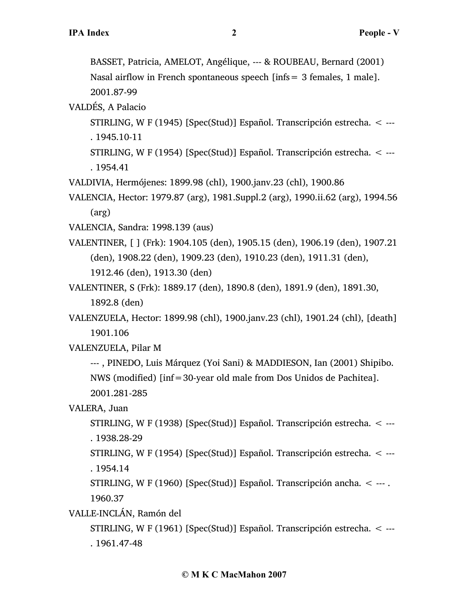BASSET, Patricia, AMELOT, Angélique, --- & ROUBEAU, Bernard (2001)

Nasal airflow in French spontaneous speech [infs= 3 females, 1 male]. 2001.87-99

VALDÉS, A Palacio

STIRLING, W F (1945) [Spec(Stud)] Español. Transcripción estrecha. < --- . 1945.10-11

STIRLING, W F (1954) [Spec(Stud)] Español. Transcripción estrecha. < --- . 1954.41

VALDIVIA, Hermójenes: 1899.98 (chl), 1900.janv.23 (chl), 1900.86

VALENCIA, Hector: 1979.87 (arg), 1981.Suppl.2 (arg), 1990.ii.62 (arg), 1994.56 (arg)

VALENCIA, Sandra: 1998.139 (aus)

VALENTINER, [ ] (Frk): 1904.105 (den), 1905.15 (den), 1906.19 (den), 1907.21 (den), 1908.22 (den), 1909.23 (den), 1910.23 (den), 1911.31 (den), 1912.46 (den), 1913.30 (den)

VALENTINER, S (Frk): 1889.17 (den), 1890.8 (den), 1891.9 (den), 1891.30, 1892.8 (den)

VALENZUELA, Hector: 1899.98 (chl), 1900.janv.23 (chl), 1901.24 (chl), [death] 1901.106

VALENZUELA, Pilar M

--- , PINEDO, Luis Márquez (Yoi Sani) & MADDIESON, Ian (2001) Shipibo. NWS (modified) [inf=30-year old male from Dos Unidos de Pachitea]. 2001.281-285

VALERA, Juan

STIRLING, W F (1938) [Spec(Stud)] Español. Transcripción estrecha. < --- . 1938.28-29

STIRLING, W F (1954) [Spec(Stud)] Español. Transcripción estrecha. < --- . 1954.14

STIRLING, W F (1960) [Spec(Stud)] Español. Transcripción ancha. < --- . 1960.37

VALLE-INCLÁN, Ramón del

STIRLING, W F (1961) [Spec(Stud)] Español. Transcripción estrecha. < --- . 1961.47-48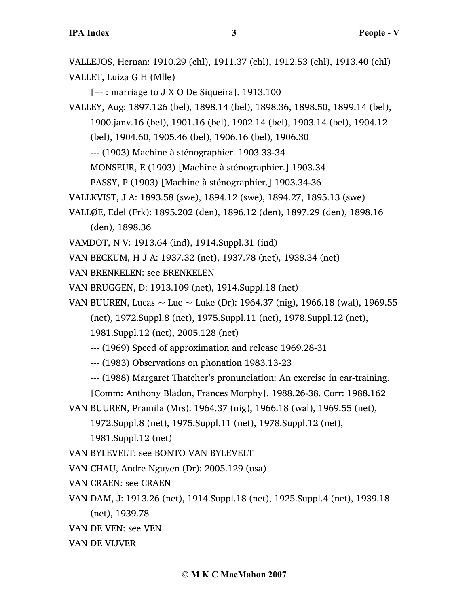VALLEJOS, Hernan: 1910.29 (chl), 1911.37 (chl), 1912.53 (chl), 1913.40 (chl) VALLET, Luiza G H (Mlle)

[--- : marriage to J X O De Siqueira]. 1913.100

VALLEY, Aug: 1897.126 (bel), 1898.14 (bel), 1898.36, 1898.50, 1899.14 (bel), 1900.janv.16 (bel), 1901.16 (bel), 1902.14 (bel), 1903.14 (bel), 1904.12

(bel), 1904.60, 1905.46 (bel), 1906.16 (bel), 1906.30

--- (1903) Machine à sténographier. 1903.33-34

MONSEUR, E (1903) [Machine à sténographier.] 1903.34

PASSY, P (1903) [Machine à sténographier.] 1903.34-36

VALLKVIST, J A: 1893.58 (swe), 1894.12 (swe), 1894.27, 1895.13 (swe)

VALLØE, Edel (Frk): 1895.202 (den), 1896.12 (den), 1897.29 (den), 1898.16 (den), 1898.36

VAMDOT, N V: 1913.64 (ind), 1914.Suppl.31 (ind)

VAN BECKUM, H J A: 1937.32 (net), 1937.78 (net), 1938.34 (net)

VAN BRENKELEN: see BRENKELEN

VAN BRUGGEN, D: 1913.109 (net), 1914.Suppl.18 (net)

VAN BUUREN, Lucas  $\sim$  Luc  $\sim$  Luke (Dr): 1964.37 (nig), 1966.18 (wal), 1969.55

(net), 1972.Suppl.8 (net), 1975.Suppl.11 (net), 1978.Suppl.12 (net),

1981.Suppl.12 (net), 2005.128 (net)

--- (1969) Speed of approximation and release 1969.28-31

--- (1983) Observations on phonation 1983.13-23

--- (1988) Margaret Thatcher's pronunciation: An exercise in ear-training.

[Comm: Anthony Bladon, Frances Morphy]. 1988.26-38. Corr: 1988.162

VAN BUUREN, Pramila (Mrs): 1964.37 (nig), 1966.18 (wal), 1969.55 (net), 1972.Suppl.8 (net), 1975.Suppl.11 (net), 1978.Suppl.12 (net),

1981.Suppl.12 (net)

VAN BYLEVELT: see BONTO VAN BYLEVELT

VAN CHAU, Andre Nguyen (Dr): 2005.129 (usa)

VAN CRAEN: see CRAEN

VAN DAM, J: 1913.26 (net), 1914.Suppl.18 (net), 1925.Suppl.4 (net), 1939.18 (net), 1939.78

VAN DE VEN: see VEN

VAN DE VIJVER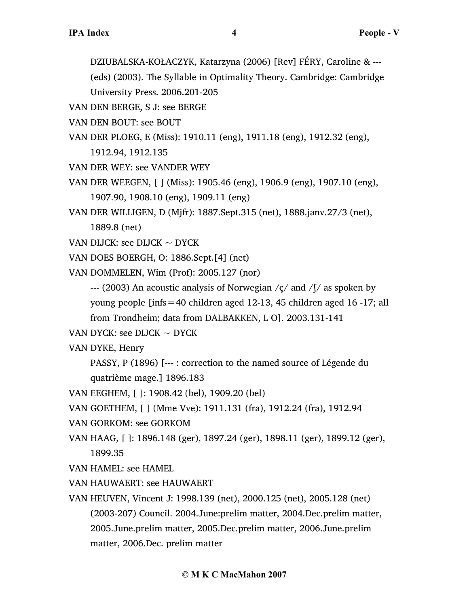DZIUBALSKA-KOŁACZYK, Katarzyna (2006) [Rev] FÉRY, Caroline & ---

(eds) (2003). The Syllable in Optimality Theory. Cambridge: Cambridge University Press. 2006.201-205

VAN DEN BERGE, S J: see BERGE

VAN DEN BOUT: see BOUT

- VAN DER PLOEG, E (Miss): 1910.11 (eng), 1911.18 (eng), 1912.32 (eng), 1912.94, 1912.135
- VAN DER WEY: see VANDER WEY
- VAN DER WEEGEN, [ ] (Miss): 1905.46 (eng), 1906.9 (eng), 1907.10 (eng), 1907.90, 1908.10 (eng), 1909.11 (eng)
- VAN DER WILLIGEN, D (Mjfr): 1887.Sept.315 (net), 1888.janv.27/3 (net), 1889.8 (net)
- VAN DIJCK: see DIJCK  $\sim$  DYCK
- VAN DOES BOERGH, O: 1886.Sept.[4] (net)
- VAN DOMMELEN, Wim (Prof): 2005.127 (nor)

 $-$ -- (2003) An acoustic analysis of Norwegian /c/ and / $\frac{1}{2}$  as spoken by young people [infs=40 children aged 12-13, 45 children aged 16 -17; all from Trondheim; data from DALBAKKEN, L O]. 2003.131-141

- VAN DYCK: see DIJCK  $\sim$  DYCK
- VAN DYKE, Henry

PASSY, P (1896) [--- : correction to the named source of Légende du quatrième mage.] 1896.183

- VAN EEGHEM, [ ]: 1908.42 (bel), 1909.20 (bel)
- VAN GOETHEM, [ ] (Mme Vve): 1911.131 (fra), 1912.24 (fra), 1912.94
- VAN GORKOM: see GORKOM
- VAN HAAG, [ ]: 1896.148 (ger), 1897.24 (ger), 1898.11 (ger), 1899.12 (ger), 1899.35
- VAN HAMEL: see HAMEL
- VAN HAUWAERT: see HAUWAERT
- VAN HEUVEN, Vincent J: 1998.139 (net), 2000.125 (net), 2005.128 (net) (2003-207) Council. 2004.June:prelim matter, 2004.Dec.prelim matter, 2005.June.prelim matter, 2005.Dec.prelim matter, 2006.June.prelim matter, 2006.Dec. prelim matter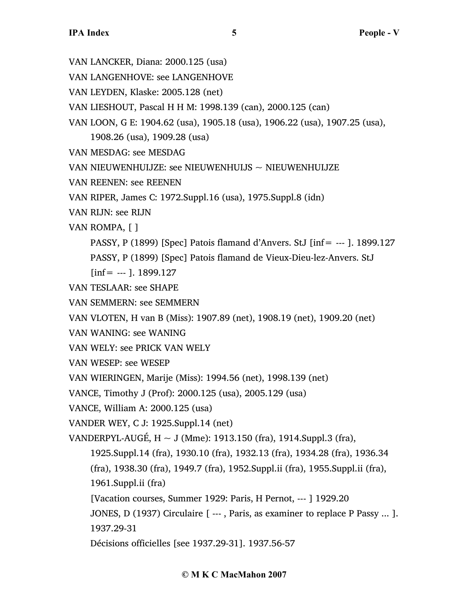VAN LANCKER, Diana: 2000.125 (usa) VAN LANGENHOVE: see LANGENHOVE VAN LEYDEN, Klaske: 2005.128 (net) VAN LIESHOUT, Pascal H H M: 1998.139 (can), 2000.125 (can) VAN LOON, G E: 1904.62 (usa), 1905.18 (usa), 1906.22 (usa), 1907.25 (usa), 1908.26 (usa), 1909.28 (usa) VAN MESDAG: see MESDAG VAN NIEUWENHUIJZE: see NIEUWENHUIJS  $\sim$  NIEUWENHUIJZE VAN REENEN: see REENEN VAN RIPER, James C: 1972.Suppl.16 (usa), 1975.Suppl.8 (idn) VAN RIJN: see RIJN VAN ROMPA, [ ] PASSY, P (1899) [Spec] Patois flamand d'Anvers. StJ [inf= --- ]. 1899.127 PASSY, P (1899) [Spec] Patois flamand de Vieux-Dieu-lez-Anvers. StJ  $[inf = --]$ . 1899.127 VAN TESLAAR: see SHAPE VAN SEMMERN: see SEMMERN VAN VLOTEN, H van B (Miss): 1907.89 (net), 1908.19 (net), 1909.20 (net) VAN WANING: see WANING VAN WELY: see PRICK VAN WELY VAN WESEP: see WESEP VAN WIERINGEN, Marije (Miss): 1994.56 (net), 1998.139 (net) VANCE, Timothy J (Prof): 2000.125 (usa), 2005.129 (usa) VANCE, William A: 2000.125 (usa) VANDER WEY, C J: 1925.Suppl.14 (net) VANDERPYL-AUGÉ,  $H \sim J$  (Mme): 1913.150 (fra), 1914.Suppl.3 (fra), 1925.Suppl.14 (fra), 1930.10 (fra), 1932.13 (fra), 1934.28 (fra), 1936.34 (fra), 1938.30 (fra), 1949.7 (fra), 1952.Suppl.ii (fra), 1955.Suppl.ii (fra), 1961.Suppl.ii (fra) [Vacation courses, Summer 1929: Paris, H Pernot, --- ] 1929.20 JONES, D (1937) Circulaire [ --- , Paris, as examiner to replace P Passy ... ]. 1937.29-31

Décisions officielles [see 1937.29-31]. 1937.56-57

## **© M K C MacMahon 2007**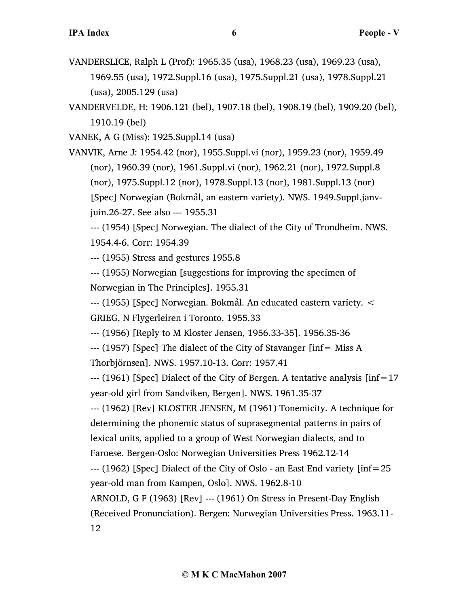- VANDERSLICE, Ralph L (Prof): 1965.35 (usa), 1968.23 (usa), 1969.23 (usa), 1969.55 (usa), 1972.Suppl.16 (usa), 1975.Suppl.21 (usa), 1978.Suppl.21 (usa), 2005.129 (usa)
- VANDERVELDE, H: 1906.121 (bel), 1907.18 (bel), 1908.19 (bel), 1909.20 (bel), 1910.19 (bel)
- VANEK, A G (Miss): 1925.Suppl.14 (usa)

VANVIK, Arne J: 1954.42 (nor), 1955.Suppl.vi (nor), 1959.23 (nor), 1959.49 (nor), 1960.39 (nor), 1961.Suppl.vi (nor), 1962.21 (nor), 1972.Suppl.8 (nor), 1975.Suppl.12 (nor), 1978.Suppl.13 (nor), 1981.Suppl.13 (nor) [Spec] Norwegian (Bokmål, an eastern variety). NWS. 1949.Suppl.janvjuin.26-27. See also --- 1955.31

--- (1954) [Spec] Norwegian. The dialect of the City of Trondheim. NWS. 1954.4-6. Corr: 1954.39

--- (1955) Stress and gestures 1955.8

--- (1955) Norwegian [suggestions for improving the specimen of Norwegian in The Principles]. 1955.31

--- (1955) [Spec] Norwegian. Bokmål. An educated eastern variety. < GRIEG, N Flygerleiren i Toronto. 1955.33

--- (1956) [Reply to M Kloster Jensen, 1956.33-35]. 1956.35-36

--- (1957) [Spec] The dialect of the City of Stavanger [inf= Miss A Thorbjörnsen]. NWS. 1957.10-13. Corr: 1957.41

--- (1961) [Spec] Dialect of the City of Bergen. A tentative analysis [inf=17 year-old girl from Sandviken, Bergen]. NWS. 1961.35-37

--- (1962) [Rev] KLOSTER JENSEN, M (1961) Tonemicity. A technique for determining the phonemic status of suprasegmental patterns in pairs of lexical units, applied to a group of West Norwegian dialects, and to

Faroese. Bergen-Oslo: Norwegian Universities Press 1962.12-14

--- (1962) [Spec] Dialect of the City of Oslo - an East End variety [inf=25 year-old man from Kampen, Oslo]. NWS. 1962.8-10

ARNOLD, G F (1963) [Rev] --- (1961) On Stress in Present-Day English (Received Pronunciation). Bergen: Norwegian Universities Press. 1963.11- 12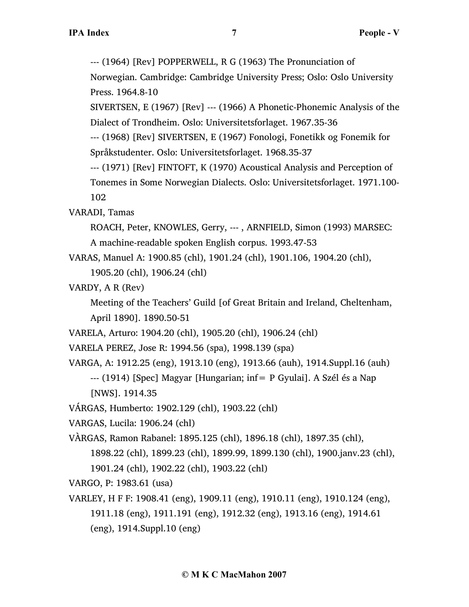--- (1964) [Rev] POPPERWELL, R G (1963) The Pronunciation of Norwegian. Cambridge: Cambridge University Press; Oslo: Oslo University Press. 1964.8-10

SIVERTSEN, E (1967) [Rev] --- (1966) A Phonetic-Phonemic Analysis of the Dialect of Trondheim. Oslo: Universitetsforlaget. 1967.35-36

--- (1968) [Rev] SIVERTSEN, E (1967) Fonologi, Fonetikk og Fonemik for Språkstudenter. Oslo: Universitetsforlaget. 1968.35-37

--- (1971) [Rev] FINTOFT, K (1970) Acoustical Analysis and Perception of Tonemes in Some Norwegian Dialects. Oslo: Universitetsforlaget. 1971.100- 102

VARADI, Tamas

ROACH, Peter, KNOWLES, Gerry, --- , ARNFIELD, Simon (1993) MARSEC: A machine-readable spoken English corpus. 1993.47-53

VARAS, Manuel A: 1900.85 (chl), 1901.24 (chl), 1901.106, 1904.20 (chl),

1905.20 (chl), 1906.24 (chl)

VARDY, A R (Rev)

Meeting of the Teachers' Guild [of Great Britain and Ireland, Cheltenham, April 1890]. 1890.50-51

VARELA, Arturo: 1904.20 (chl), 1905.20 (chl), 1906.24 (chl)

VARELA PEREZ, Jose R: 1994.56 (spa), 1998.139 (spa)

VARGA, A: 1912.25 (eng), 1913.10 (eng), 1913.66 (auh), 1914.Suppl.16 (auh) --- (1914) [Spec] Magyar [Hungarian; inf= P Gyulai]. A Szél és a Nap

- [NWS]. 1914.35
- VÁRGAS, Humberto: 1902.129 (chl), 1903.22 (chl)

VARGAS, Lucila: 1906.24 (chl)

VÀRGAS, Ramon Rabanel: 1895.125 (chl), 1896.18 (chl), 1897.35 (chl),

1898.22 (chl), 1899.23 (chl), 1899.99, 1899.130 (chl), 1900.janv.23 (chl),

1901.24 (chl), 1902.22 (chl), 1903.22 (chl)

VARGO, P: 1983.61 (usa)

VARLEY, H F F: 1908.41 (eng), 1909.11 (eng), 1910.11 (eng), 1910.124 (eng), 1911.18 (eng), 1911.191 (eng), 1912.32 (eng), 1913.16 (eng), 1914.61 (eng), 1914.Suppl.10 (eng)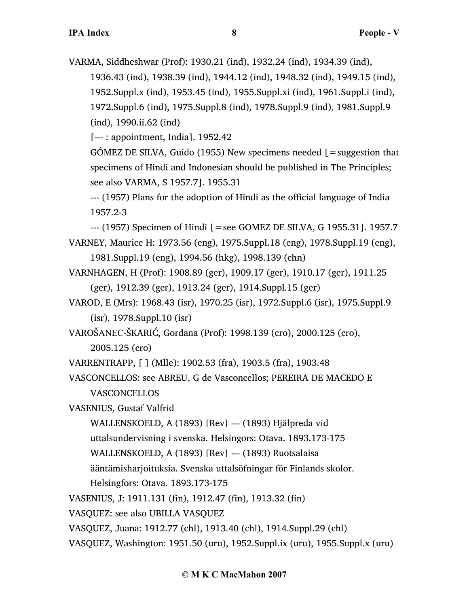VARMA, Siddheshwar (Prof): 1930.21 (ind), 1932.24 (ind), 1934.39 (ind), 1936.43 (ind), 1938.39 (ind), 1944.12 (ind), 1948.32 (ind), 1949.15 (ind), 1952.Suppl.x (ind), 1953.45 (ind), 1955.Suppl.xi (ind), 1961.Suppl.i (ind), 1972.Suppl.6 (ind), 1975.Suppl.8 (ind), 1978.Suppl.9 (ind), 1981.Suppl.9 (ind), 1990.ii.62 (ind)

[--- : appointment, India]. 1952.42

GÓMEZ DE SILVA, Guido (1955) New specimens needed  $\beta$  = suggestion that specimens of Hindi and Indonesian should be published in The Principles; see also VARMA, S 1957.7]. 1955.31

--- (1957) Plans for the adoption of Hindi as the official language of India 1957.2-3

--- (1957) Specimen of Hindi [=see GOMEZ DE SILVA, G 1955.31]. 1957.7 VARNEY, Maurice H: 1973.56 (eng), 1975.Suppl.18 (eng), 1978.Suppl.19 (eng), 1981.Suppl.19 (eng), 1994.56 (hkg), 1998.139 (chn)

- VARNHAGEN, H (Prof): 1908.89 (ger), 1909.17 (ger), 1910.17 (ger), 1911.25 (ger), 1912.39 (ger), 1913.24 (ger), 1914.Suppl.15 (ger)
- VAROD, E (Mrs): 1968.43 (isr), 1970.25 (isr), 1972.Suppl.6 (isr), 1975.Suppl.9 (isr), 1978.Suppl.10 (isr)
- VAROŠANEC-ŠKARIĆ, Gordana (Prof): 1998.139 (cro), 2000.125 (cro), 2005.125 (cro)

VARRENTRAPP, [ ] (Mlle): 1902.53 (fra), 1903.5 (fra), 1903.48

VASCONCELLOS: see ABREU, G de Vasconcellos; PEREIRA DE MACEDO E **VASCONCELLOS** 

VASENIUS, Gustaf Valfrid

WALLENSKOELD, A (1893) [Rev] --- (1893) Hjälpreda vid

uttalsundervisning i svenska. Helsingors: Otava. 1893.173-175

WALLENSKOELD, A (1893) [Rev] --- (1893) Ruotsalaisa

ääntämisharjoituksia. Svenska uttalsöfningar för Finlands skolor.

Helsingfors: Otava. 1893.173-175

VASENIUS, J: 1911.131 (fin), 1912.47 (fin), 1913.32 (fin)

VASQUEZ: see also UBILLA VASQUEZ

VASQUEZ, Juana: 1912.77 (chl), 1913.40 (chl), 1914.Suppl.29 (chl)

VASQUEZ, Washington: 1951.50 (uru), 1952.Suppl.ix (uru), 1955.Suppl.x (uru)

## **© M K C MacMahon 2007**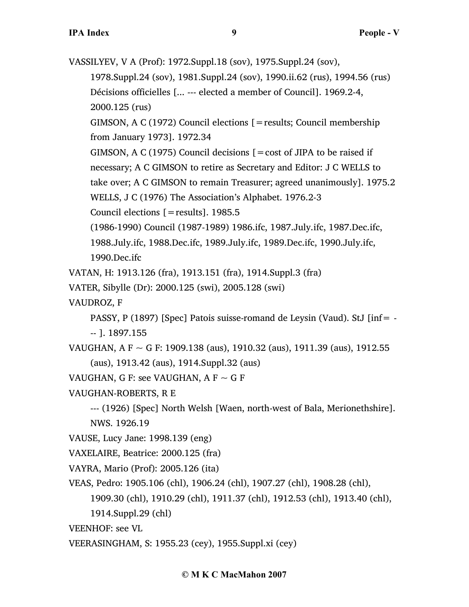VASSILYEV, V A (Prof): 1972.Suppl.18 (sov), 1975.Suppl.24 (sov),

1978.Suppl.24 (sov), 1981.Suppl.24 (sov), 1990.ii.62 (rus), 1994.56 (rus) Décisions officielles [... --- elected a member of Council]. 1969.2-4, 2000.125 (rus)

GIMSON, A C (1972) Council elections [=results; Council membership from January 1973]. 1972.34

GIMSON, A C (1975) Council decisions  $\mathbf{I} = \text{cost of JIPA}$  to be raised if necessary; A C GIMSON to retire as Secretary and Editor: J C WELLS to take over; A C GIMSON to remain Treasurer; agreed unanimously]. 1975.2 WELLS, J C (1976) The Association's Alphabet. 1976.2-3

Council elections  $[=results]$ . 1985.5

(1986-1990) Council (1987-1989) 1986.ifc, 1987.July.ifc, 1987.Dec.ifc, 1988.July.ifc, 1988.Dec.ifc, 1989.July.ifc, 1989.Dec.ifc, 1990.July.ifc, 1990.Dec.ifc

VATAN, H: 1913.126 (fra), 1913.151 (fra), 1914.Suppl.3 (fra)

VATER, Sibylle (Dr): 2000.125 (swi), 2005.128 (swi)

VAUDROZ, F

PASSY, P (1897) [Spec] Patois suisse-romand de Leysin (Vaud). StJ [inf= -

-- ]. 1897.155

```
VAUGHAN, A F ~ G F: 1909.138 (aus), 1910.32 (aus), 1911.39 (aus), 1912.55
(aus), 1913.42 (aus), 1914.Suppl.32 (aus)
```

```
VAUGHAN, G F: see VAUGHAN, A F \sim G F
```
VAUGHAN-ROBERTS, R E

--- (1926) [Spec] North Welsh [Waen, north-west of Bala, Merionethshire]. NWS. 1926.19

VAUSE, Lucy Jane: 1998.139 (eng)

VAXELAIRE, Beatrice: 2000.125 (fra)

VAYRA, Mario (Prof): 2005.126 (ita)

VEAS, Pedro: 1905.106 (chl), 1906.24 (chl), 1907.27 (chl), 1908.28 (chl),

1909.30 (chl), 1910.29 (chl), 1911.37 (chl), 1912.53 (chl), 1913.40 (chl),

1914.Suppl.29 (chl)

VEENHOF: see VL

VEERASINGHAM, S: 1955.23 (cey), 1955.Suppl.xi (cey)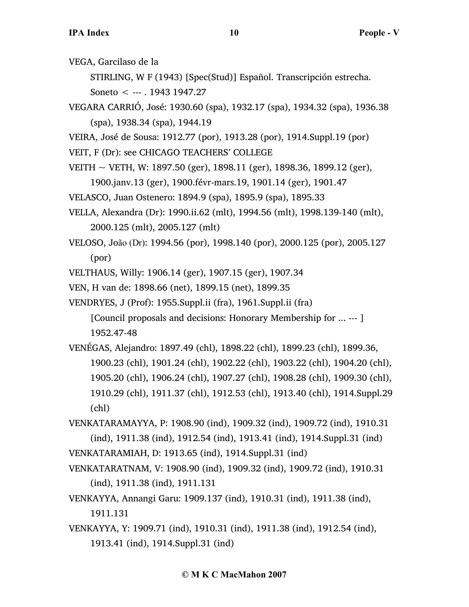VEGA, Garcilaso de la

STIRLING, W F (1943) [Spec(Stud)] Español. Transcripción estrecha.

Soneto  $\leq$  --- . 1943 1947.27

VEGARA CARRIÓ, José: 1930.60 (spa), 1932.17 (spa), 1934.32 (spa), 1936.38 (spa), 1938.34 (spa), 1944.19

VEIRA, José de Sousa: 1912.77 (por), 1913.28 (por), 1914.Suppl.19 (por)

VEIT, F (Dr): see CHICAGO TEACHERS' COLLEGE

VEITH  $\sim$  VETH, W: 1897.50 (ger), 1898.11 (ger), 1898.36, 1899.12 (ger), 1900.janv.13 (ger), 1900.févr-mars.19, 1901.14 (ger), 1901.47

VELASCO, Juan Ostenero: 1894.9 (spa), 1895.9 (spa), 1895.33

- VELLA, Alexandra (Dr): 1990.ii.62 (mlt), 1994.56 (mlt), 1998.139-140 (mlt), 2000.125 (mlt), 2005.127 (mlt)
- VELOSO, João (Dr): 1994.56 (por), 1998.140 (por), 2000.125 (por), 2005.127 (por)

VELTHAUS, Willy: 1906.14 (ger), 1907.15 (ger), 1907.34

VEN, H van de: 1898.66 (net), 1899.15 (net), 1899.35

VENDRYES, J (Prof): 1955.Suppl.ii (fra), 1961.Suppl.ii (fra)

VENÉGAS, Alejandro: 1897.49 (chl), 1898.22 (chl), 1899.23 (chl), 1899.36, 1900.23 (chl), 1901.24 (chl), 1902.22 (chl), 1903.22 (chl), 1904.20 (chl), 1905.20 (chl), 1906.24 (chl), 1907.27 (chl), 1908.28 (chl), 1909.30 (chl), 1910.29 (chl), 1911.37 (chl), 1912.53 (chl), 1913.40 (chl), 1914.Suppl.29 (chl)

VENKATARAMAYYA, P: 1908.90 (ind), 1909.32 (ind), 1909.72 (ind), 1910.31 (ind), 1911.38 (ind), 1912.54 (ind), 1913.41 (ind), 1914.Suppl.31 (ind) VENKATARAMIAH, D: 1913.65 (ind), 1914.Suppl.31 (ind)

- VENKATARATNAM, V: 1908.90 (ind), 1909.32 (ind), 1909.72 (ind), 1910.31 (ind), 1911.38 (ind), 1911.131
- VENKAYYA, Annangi Garu: 1909.137 (ind), 1910.31 (ind), 1911.38 (ind), 1911.131
- VENKAYYA, Y: 1909.71 (ind), 1910.31 (ind), 1911.38 (ind), 1912.54 (ind), 1913.41 (ind), 1914.Suppl.31 (ind)

<sup>[</sup>Council proposals and decisions: Honorary Membership for ... --- ] 1952.47-48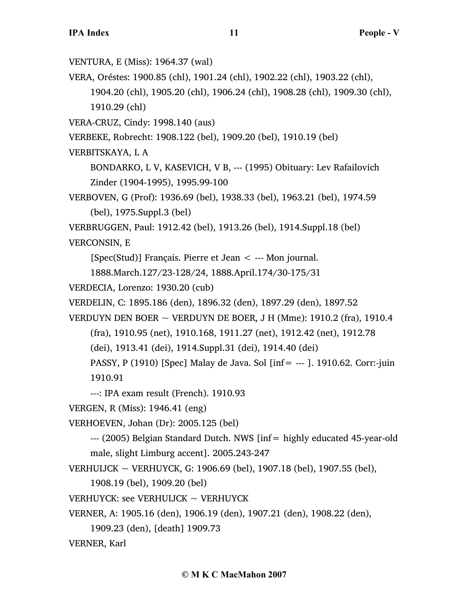VENTURA, E (Miss): 1964.37 (wal) VERA, Oréstes: 1900.85 (chl), 1901.24 (chl), 1902.22 (chl), 1903.22 (chl), 1904.20 (chl), 1905.20 (chl), 1906.24 (chl), 1908.28 (chl), 1909.30 (chl), 1910.29 (chl) VERA-CRUZ, Cindy: 1998.140 (aus) VERBEKE, Robrecht: 1908.122 (bel), 1909.20 (bel), 1910.19 (bel) VERBITSKAYA, L A BONDARKO, L V, KASEVICH, V B, --- (1995) Obituary: Lev Rafailovich Zinder (1904-1995), 1995.99-100 VERBOVEN, G (Prof): 1936.69 (bel), 1938.33 (bel), 1963.21 (bel), 1974.59 (bel), 1975.Suppl.3 (bel) VERBRUGGEN, Paul: 1912.42 (bel), 1913.26 (bel), 1914.Suppl.18 (bel) VERCONSIN, E [Spec(Stud)] Français. Pierre et Jean < --- Mon journal. 1888.March.127/23-128/24, 1888.April.174/30-175/31 VERDECIA, Lorenzo: 1930.20 (cub) VERDELIN, C: 1895.186 (den), 1896.32 (den), 1897.29 (den), 1897.52 VERDUYN DEN BOER  $\sim$  VERDUYN DE BOER, J H (Mme): 1910.2 (fra), 1910.4 (fra), 1910.95 (net), 1910.168, 1911.27 (net), 1912.42 (net), 1912.78 (dei), 1913.41 (dei), 1914.Suppl.31 (dei), 1914.40 (dei) PASSY, P (1910) [Spec] Malay de Java. Sol [inf= --- ]. 1910.62. Corr:-juin 1910.91 ---: IPA exam result (French). 1910.93 VERGEN, R (Miss): 1946.41 (eng) VERHOEVEN, Johan (Dr): 2005.125 (bel) --- (2005) Belgian Standard Dutch. NWS [inf= highly educated 45-year-old male, slight Limburg accent]. 2005.243-247 VERHUIJCK ~ VERHUYCK, G: 1906.69 (bel), 1907.18 (bel), 1907.55 (bel), 1908.19 (bel), 1909.20 (bel) VERHUYCK: see VERHUIJCK  $\sim$  VERHUYCK VERNER, A: 1905.16 (den), 1906.19 (den), 1907.21 (den), 1908.22 (den), 1909.23 (den), [death] 1909.73

VERNER, Karl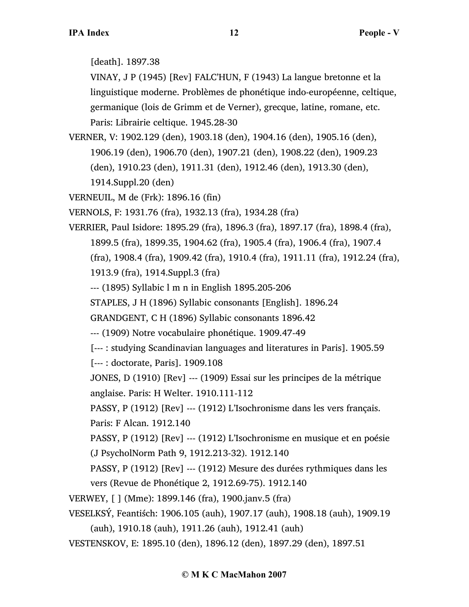[death]. 1897.38

VINAY, J P (1945) [Rev] FALC'HUN, F (1943) La langue bretonne et la linguistique moderne. Problèmes de phonétique indo-européenne, celtique, germanique (lois de Grimm et de Verner), grecque, latine, romane, etc. Paris: Librairie celtique. 1945.28-30

VERNER, V: 1902.129 (den), 1903.18 (den), 1904.16 (den), 1905.16 (den), 1906.19 (den), 1906.70 (den), 1907.21 (den), 1908.22 (den), 1909.23 (den), 1910.23 (den), 1911.31 (den), 1912.46 (den), 1913.30 (den), 1914.Suppl.20 (den)

VERNEUIL, M de (Frk): 1896.16 (fin)

VERNOLS, F: 1931.76 (fra), 1932.13 (fra), 1934.28 (fra)

VERRIER, Paul Isidore: 1895.29 (fra), 1896.3 (fra), 1897.17 (fra), 1898.4 (fra), 1899.5 (fra), 1899.35, 1904.62 (fra), 1905.4 (fra), 1906.4 (fra), 1907.4 (fra), 1908.4 (fra), 1909.42 (fra), 1910.4 (fra), 1911.11 (fra), 1912.24 (fra), 1913.9 (fra), 1914.Suppl.3 (fra)

--- (1895) Syllabic l m n in English 1895.205-206

STAPLES, J H (1896) Syllabic consonants [English]. 1896.24

GRANDGENT, C H (1896) Syllabic consonants 1896.42

--- (1909) Notre vocabulaire phonétique. 1909.47-49

[--- : studying Scandinavian languages and literatures in Paris]. 1905.59

[--- : doctorate, Paris]. 1909.108

JONES, D (1910) [Rev] --- (1909) Essai sur les principes de la métrique anglaise. Paris: H Welter. 1910.111-112

PASSY, P (1912) [Rev] --- (1912) L'Isochronisme dans les vers français. Paris: F Alcan. 1912.140

PASSY, P (1912) [Rev] --- (1912) L'Isochronisme en musique et en poésie (J PsycholNorm Path 9, 1912.213-32). 1912.140

PASSY, P (1912) [Rev] --- (1912) Mesure des durées rythmiques dans les vers (Revue de Phonétique 2, 1912.69-75). 1912.140

VERWEY, [ ] (Mme): 1899.146 (fra), 1900.janv.5 (fra)

- VESELKSÝ, Feantiśch: 1906.105 (auh), 1907.17 (auh), 1908.18 (auh), 1909.19 (auh), 1910.18 (auh), 1911.26 (auh), 1912.41 (auh)
- VESTENSKOV, E: 1895.10 (den), 1896.12 (den), 1897.29 (den), 1897.51

## **© M K C MacMahon 2007**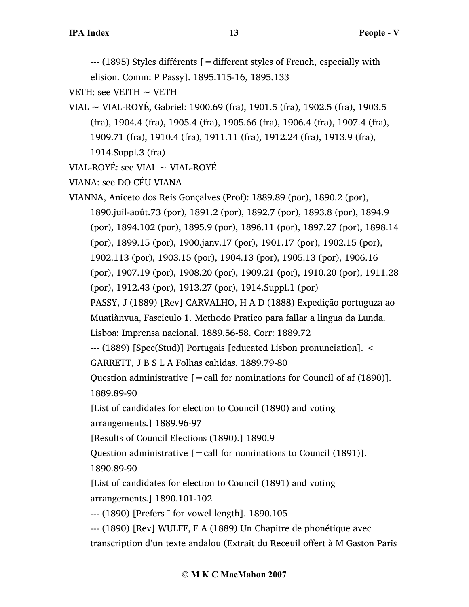--- (1895) Styles différents [=different styles of French, especially with elision. Comm: P Passy]. 1895.115-16, 1895.133

VETH: see VEITH  $\sim$  VETH

VIAL ~ VIAL-ROYÉ, Gabriel: 1900.69 (fra), 1901.5 (fra), 1902.5 (fra), 1903.5 (fra), 1904.4 (fra), 1905.4 (fra), 1905.66 (fra), 1906.4 (fra), 1907.4 (fra), 1909.71 (fra), 1910.4 (fra), 1911.11 (fra), 1912.24 (fra), 1913.9 (fra), 1914.Suppl.3 (fra)

VIAL-ROYÉ: see VIAL ~ VIAL-ROYÉ

VIANA: see DO CÉU VIANA

VIANNA, Aniceto dos Reis Gonçalves (Prof): 1889.89 (por), 1890.2 (por), 1890.juil-août.73 (por), 1891.2 (por), 1892.7 (por), 1893.8 (por), 1894.9 (por), 1894.102 (por), 1895.9 (por), 1896.11 (por), 1897.27 (por), 1898.14 (por), 1899.15 (por), 1900.janv.17 (por), 1901.17 (por), 1902.15 (por), 1902.113 (por), 1903.15 (por), 1904.13 (por), 1905.13 (por), 1906.16 (por), 1907.19 (por), 1908.20 (por), 1909.21 (por), 1910.20 (por), 1911.28 (por), 1912.43 (por), 1913.27 (por), 1914.Suppl.1 (por) PASSY, J (1889) [Rev] CARVALHO, H A D (1888) Expedição portuguza ao Muatiànvua, Fasciculo 1. Methodo Pratico para fallar a lingua da Lunda. Lisboa: Imprensa nacional. 1889.56-58. Corr: 1889.72 --- (1889) [Spec(Stud)] Portugais [educated Lisbon pronunciation]. < GARRETT, J B S L A Folhas cahidas. 1889.79-80 Question administrative  $\lceil$  = call for nominations for Council of af (1890)]. 1889.89-90 [List of candidates for election to Council (1890) and voting arrangements.] 1889.96-97 [Results of Council Elections (1890).] 1890.9 Question administrative  $[=$  call for nominations to Council (1891)]. 1890.89-90 [List of candidates for election to Council (1891) and voting arrangements.] 1890.101-102

--- (1890) [Prefers ˉ for vowel length]. 1890.105

--- (1890) [Rev] WULFF, F A (1889) Un Chapitre de phonétique avec transcription d'un texte andalou (Extrait du Receuil offert à M Gaston Paris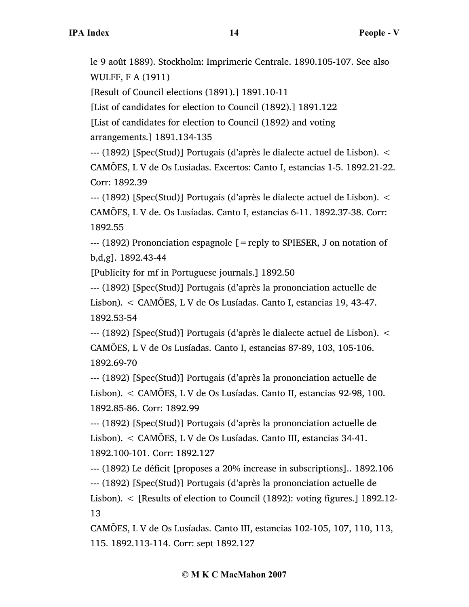le 9 août 1889). Stockholm: Imprimerie Centrale. 1890.105-107. See also WULFF, F A (1911)

[Result of Council elections (1891).] 1891.10-11

[List of candidates for election to Council (1892).] 1891.122

[List of candidates for election to Council (1892) and voting arrangements.] 1891.134-135

--- (1892) [Spec(Stud)] Portugais (d'après le dialecte actuel de Lisbon). < CAMÕES, L V de Os Lusiadas. Excertos: Canto I, estancias 1-5. 1892.21-22. Corr: 1892.39

--- (1892) [Spec(Stud)] Portugais (d'après le dialecte actuel de Lisbon). < CAMÕES, L V de. Os Lusíadas. Canto I, estancias 6-11. 1892.37-38. Corr: 1892.55

--- (1892) Prononciation espagnole [=reply to SPIESER, J on notation of b,d,g]. 1892.43-44

[Publicity for mf in Portuguese journals.] 1892.50

--- (1892) [Spec(Stud)] Portugais (d'après la prononciation actuelle de Lisbon). < CAMÕES, L V de Os Lusíadas. Canto I, estancias 19, 43-47. 1892.53-54

--- (1892) [Spec(Stud)] Portugais (d'après le dialecte actuel de Lisbon). < CAMÕES, L V de Os Lusíadas. Canto I, estancias 87-89, 103, 105-106. 1892.69-70

--- (1892) [Spec(Stud)] Portugais (d'après la prononciation actuelle de Lisbon). < CAMÕES, L V de Os Lusíadas. Canto II, estancias 92-98, 100. 1892.85-86. Corr: 1892.99

--- (1892) [Spec(Stud)] Portugais (d'après la prononciation actuelle de Lisbon). < CAMÕES, L V de Os Lusíadas. Canto III, estancias 34-41. 1892.100-101. Corr: 1892.127

--- (1892) Le déficit [proposes a 20% increase in subscriptions].. 1892.106 --- (1892) [Spec(Stud)] Portugais (d'après la prononciation actuelle de Lisbon). < [Results of election to Council (1892): voting figures.] 1892.12- 13

CAMÕES, L V de Os Lusíadas. Canto III, estancias 102-105, 107, 110, 113, 115. 1892.113-114. Corr: sept 1892.127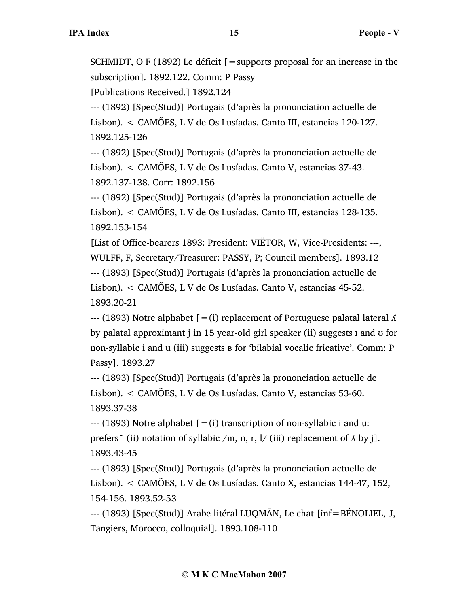SCHMIDT, O F (1892) Le déficit  $[$  = supports proposal for an increase in the subscription]. 1892.122. Comm: P Passy

[Publications Received.] 1892.124

--- (1892) [Spec(Stud)] Portugais (d'après la prononciation actuelle de Lisbon). < CAMÕES, L V de Os Lusíadas. Canto III, estancias 120-127. 1892.125-126

--- (1892) [Spec(Stud)] Portugais (d'après la prononciation actuelle de Lisbon). < CAMÕES, L V de Os Lusíadas. Canto V, estancias 37-43. 1892.137-138. Corr: 1892.156

--- (1892) [Spec(Stud)] Portugais (d'après la prononciation actuelle de Lisbon). < CAMÕES, L V de Os Lusíadas. Canto III, estancias 128-135. 1892.153-154

[List of Office-bearers 1893: President: VIËTOR, W, Vice-Presidents: ---, WULFF, F, Secretary/Treasurer: PASSY, P; Council members]. 1893.12 --- (1893) [Spec(Stud)] Portugais (d'après la prononciation actuelle de Lisbon). < CAMÕES, L V de Os Lusíadas. Canto V, estancias 45-52. 1893.20-21

 $-$ -- (1893) Notre alphabet  $[=(i)]$  replacement of Portuguese palatal lateral  $\Lambda$ by palatal approximant j in 15 year-old girl speaker (ii) suggests ɪ and ʊ for non-syllabic i and u (iii) suggests **B** for 'bilabial vocalic fricative'. Comm: P Passy]. 1893.27

--- (1893) [Spec(Stud)] Portugais (d'après la prononciation actuelle de Lisbon). < CAMÕES, L V de Os Lusíadas. Canto V, estancias 53-60. 1893.37-38

 $-$ -- (1893) Notre alphabet  $[=(i)]$  transcription of non-syllabic i and u: prefers (ii) notation of syllabic /m, n, r, l/ (iii) replacement of  $\Lambda$  by j]. 1893.43-45

--- (1893) [Spec(Stud)] Portugais (d'après la prononciation actuelle de Lisbon). < CAMÕES, L V de Os Lusíadas. Canto X, estancias 144-47, 152, 154-156. 1893.52-53

--- (1893) [Spec(Stud)] Arabe litéral LUQMĀN, Le chat [inf=BÉNOLIEL, J, Tangiers, Morocco, colloquial]. 1893.108-110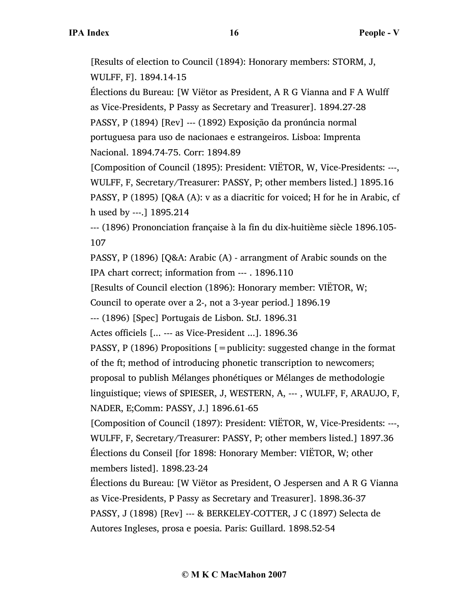[Results of election to Council (1894): Honorary members: STORM, J, WULFF, F]. 1894.14-15

Élections du Bureau: [W Viëtor as President, A R G Vianna and F A Wulff as Vice-Presidents, P Passy as Secretary and Treasurer]. 1894.27-28 PASSY, P (1894) [Rev] --- (1892) Exposição da pronúncia normal portuguesa para uso de nacionaes e estrangeiros. Lisboa: Imprenta Nacional. 1894.74-75. Corr: 1894.89

[Composition of Council (1895): President: VIËTOR, W, Vice-Presidents: ---, WULFF, F, Secretary/Treasurer: PASSY, P; other members listed.] 1895.16 PASSY, P (1895) [Q&A (A): v as a diacritic for voiced; H for he in Arabic, cf h used by ---.] 1895.214

--- (1896) Prononciation française à la fin du dix-huitième siècle 1896.105- 107

PASSY, P (1896) [Q&A: Arabic (A) - arrangment of Arabic sounds on the IPA chart correct; information from --- . 1896.110

[Results of Council election (1896): Honorary member: VIËTOR, W;

Council to operate over a 2-, not a 3-year period.] 1896.19

--- (1896) [Spec] Portugais de Lisbon. StJ. 1896.31

Actes officiels [... --- as Vice-President ...]. 1896.36

PASSY, P (1896) Propositions  $[=$  publicity: suggested change in the format of the ft; method of introducing phonetic transcription to newcomers; proposal to publish Mélanges phonétiques or Mélanges de methodologie linguistique; views of SPIESER, J, WESTERN, A, --- , WULFF, F, ARAUJO, F, NADER, E;Comm: PASSY, J.] 1896.61-65

[Composition of Council (1897): President: VIËTOR, W, Vice-Presidents: ---, WULFF, F, Secretary/Treasurer: PASSY, P; other members listed.] 1897.36 Élections du Conseil [for 1898: Honorary Member: VIËTOR, W; other members listed]. 1898.23-24

Élections du Bureau: [W Viëtor as President, O Jespersen and A R G Vianna as Vice-Presidents, P Passy as Secretary and Treasurer]. 1898.36-37 PASSY, J (1898) [Rev] --- & BERKELEY-COTTER, J C (1897) Selecta de Autores Ingleses, prosa e poesia. Paris: Guillard. 1898.52-54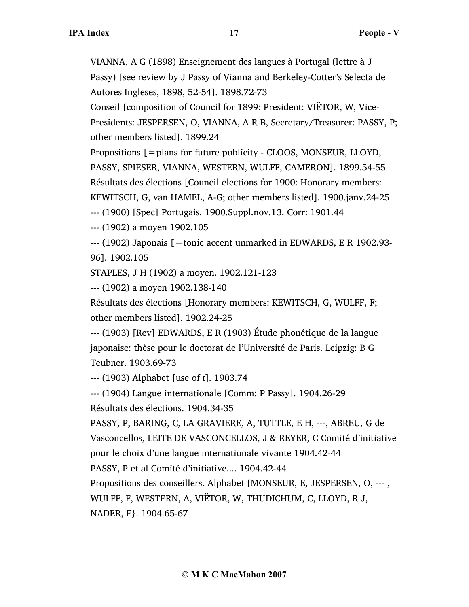VIANNA, A G (1898) Enseignement des langues à Portugal (lettre à J Passy) [see review by J Passy of Vianna and Berkeley-Cotter's Selecta de Autores Ingleses, 1898, 52-54]. 1898.72-73

Conseil [composition of Council for 1899: President: VIËTOR, W, Vice-Presidents: JESPERSEN, O, VIANNA, A R B, Secretary/Treasurer: PASSY, P; other members listed]. 1899.24

Propositions [=plans for future publicity - CLOOS, MONSEUR, LLOYD,

PASSY, SPIESER, VIANNA, WESTERN, WULFF, CAMERON]. 1899.54-55

Résultats des élections [Council elections for 1900: Honorary members:

KEWITSCH, G, van HAMEL, A-G; other members listed]. 1900.janv.24-25

--- (1900) [Spec] Portugais. 1900.Suppl.nov.13. Corr: 1901.44

--- (1902) a moyen 1902.105

 $-$ -- (1902) Japonais  $=$  tonic accent unmarked in EDWARDS, E R 1902.93-96]. 1902.105

STAPLES, J H (1902) a moyen. 1902.121-123

--- (1902) a moyen 1902.138-140

Résultats des élections [Honorary members: KEWITSCH, G, WULFF, F; other members listed]. 1902.24-25

--- (1903) [Rev] EDWARDS, E R (1903) Étude phonétique de la langue japonaise: thèse pour le doctorat de l'Université de Paris. Leipzig: B G Teubner. 1903.69-73

--- (1903) Alphabet [use of ɪ]. 1903.74

--- (1904) Langue internationale [Comm: P Passy]. 1904.26-29

Résultats des élections. 1904.34-35

PASSY, P, BARING, C, LA GRAVIERE, A, TUTTLE, E H, ---, ABREU, G de Vasconcellos, LEITE DE VASCONCELLOS, J & REYER, C Comité d'initiative pour le choix d'une langue internationale vivante 1904.42-44 PASSY, P et al Comité d'initiative.... 1904.42-44 Propositions des conseillers. Alphabet [MONSEUR, E, JESPERSEN, O, --- , WULFF, F, WESTERN, A, VIËTOR, W, THUDICHUM, C, LLOYD, R J,

NADER, E}. 1904.65-67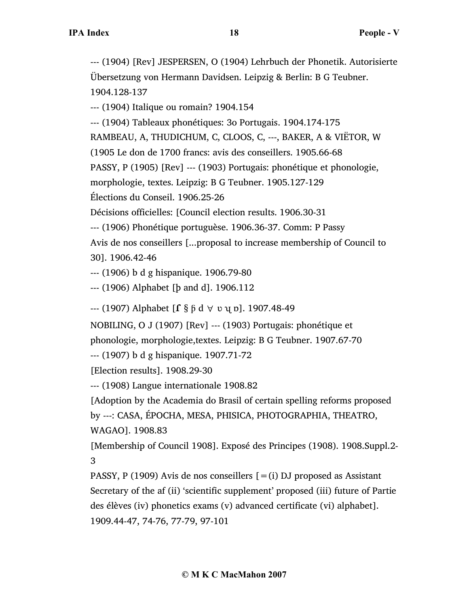--- (1904) [Rev] JESPERSEN, O (1904) Lehrbuch der Phonetik. Autorisierte Übersetzung von Hermann Davidsen. Leipzig & Berlin: B G Teubner. 1904.128-137

--- (1904) Italique ou romain? 1904.154

--- (1904) Tableaux phonétiques: 3o Portugais. 1904.174-175

RAMBEAU, A, THUDICHUM, C, CLOOS, C, ---, BAKER, A & VIËTOR, W

(1905 Le don de 1700 francs: avis des conseillers. 1905.66-68

PASSY, P (1905) [Rev] --- (1903) Portugais: phonétique et phonologie,

morphologie, textes. Leipzig: B G Teubner. 1905.127-129

Élections du Conseil. 1906.25-26

Décisions officielles: [Council election results. 1906.30-31

--- (1906) Phonétique portuguèse. 1906.36-37. Comm: P Passy

Avis de nos conseillers [...proposal to increase membership of Council to 30]. 1906.42-46

--- (1906) b d g hispanique. 1906.79-80

--- (1906) Alphabet [þ and d]. 1906.112

 $-$  (1907) Alphabet [**ſ** §  $\beta$  d  $\forall$  υ **u** p]. 1907.48-49

NOBILING, O J (1907) [Rev] --- (1903) Portugais: phonétique et

phonologie, morphologie,textes. Leipzig: B G Teubner. 1907.67-70

--- (1907) b d g hispanique. 1907.71-72

[Election results]. 1908.29-30

--- (1908) Langue internationale 1908.82

[Adoption by the Academia do Brasil of certain spelling reforms proposed by ---: CASA, ÉPOCHA, MESA, PHISICA, PHOTOGRAPHIA, THEATRO, WAGAO]. 1908.83

[Membership of Council 1908]. Exposé des Principes (1908). 1908.Suppl.2- 3

PASSY, P (1909) Avis de nos conseillers  $[=(i)$  DJ proposed as Assistant Secretary of the af (ii) 'scientific supplement' proposed (iii) future of Partie des élèves (iv) phonetics exams (v) advanced certificate (vi) alphabet]. 1909.44-47, 74-76, 77-79, 97-101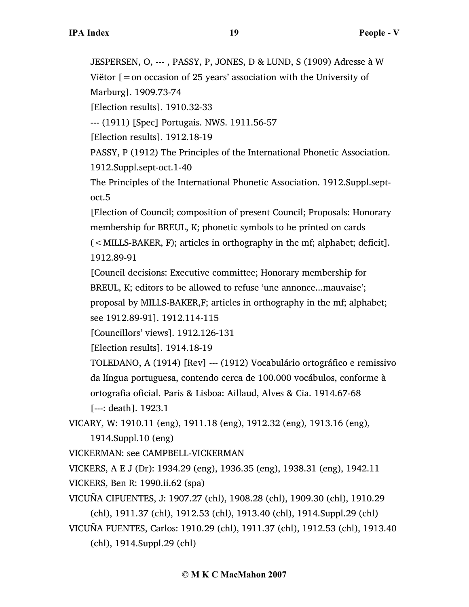JESPERSEN, O, --- , PASSY, P, JONES, D & LUND, S (1909) Adresse à W Viëtor  $[$  = on occasion of 25 years' association with the University of Marburg]. 1909.73-74 [Election results]. 1910.32-33 --- (1911) [Spec] Portugais. NWS. 1911.56-57 [Election results]. 1912.18-19 PASSY, P (1912) The Principles of the International Phonetic Association. 1912.Suppl.sept-oct.1-40 The Principles of the International Phonetic Association. 1912.Suppl.septoct.5 [Election of Council; composition of present Council; Proposals: Honorary membership for BREUL, K; phonetic symbols to be printed on cards  $(<$  MILLS-BAKER, F); articles in orthography in the mf; alphabet; deficit]. 1912.89-91 [Council decisions: Executive committee; Honorary membership for BREUL, K; editors to be allowed to refuse 'une annonce...mauvaise'; proposal by MILLS-BAKER,F; articles in orthography in the mf; alphabet; see 1912.89-91]. 1912.114-115 [Councillors' views]. 1912.126-131 [Election results]. 1914.18-19 TOLEDANO, A (1914) [Rev] --- (1912) Vocabulário ortográfico e remissivo da língua portuguesa, contendo cerca de 100.000 vocábulos, conforme à ortografia oficial. Paris & Lisboa: Aillaud, Alves & Cia. 1914.67-68 [---: death]. 1923.1 VICARY, W: 1910.11 (eng), 1911.18 (eng), 1912.32 (eng), 1913.16 (eng), 1914.Suppl.10 (eng) VICKERMAN: see CAMPBELL-VICKERMAN VICKERS, A E J (Dr): 1934.29 (eng), 1936.35 (eng), 1938.31 (eng), 1942.11 VICKERS, Ben R: 1990.ii.62 (spa) VICUÑA CIFUENTES, J: 1907.27 (chl), 1908.28 (chl), 1909.30 (chl), 1910.29

(chl), 1911.37 (chl), 1912.53 (chl), 1913.40 (chl), 1914.Suppl.29 (chl) VICUÑA FUENTES, Carlos: 1910.29 (chl), 1911.37 (chl), 1912.53 (chl), 1913.40

(chl), 1914.Suppl.29 (chl)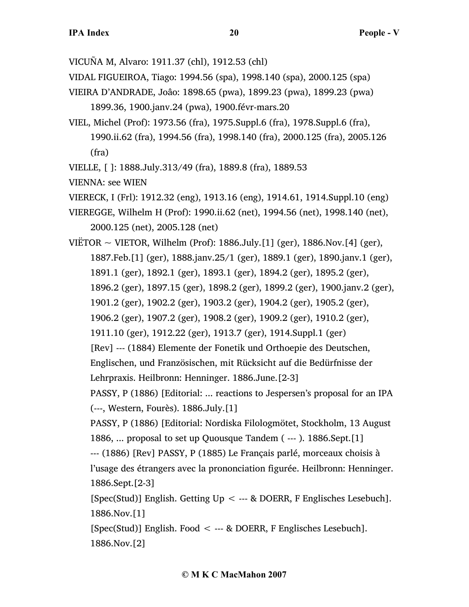- VICUÑA M, Alvaro: 1911.37 (chl), 1912.53 (chl)
- VIDAL FIGUEIROA, Tiago: 1994.56 (spa), 1998.140 (spa), 2000.125 (spa)
- VIEIRA D'ANDRADE, Joâo: 1898.65 (pwa), 1899.23 (pwa), 1899.23 (pwa) 1899.36, 1900.janv.24 (pwa), 1900.févr-mars.20
- VIEL, Michel (Prof): 1973.56 (fra), 1975.Suppl.6 (fra), 1978.Suppl.6 (fra), 1990.ii.62 (fra), 1994.56 (fra), 1998.140 (fra), 2000.125 (fra), 2005.126 (fra)
- VIELLE, [ ]: 1888.July.313/49 (fra), 1889.8 (fra), 1889.53
- VIENNA: see WIEN
- VIERECK, I (Frl): 1912.32 (eng), 1913.16 (eng), 1914.61, 1914.Suppl.10 (eng)
- VIEREGGE, Wilhelm H (Prof): 1990.ii.62 (net), 1994.56 (net), 1998.140 (net), 2000.125 (net), 2005.128 (net)
- VIETOR  $\sim$  VIETOR, Wilhelm (Prof): 1886.July.[1] (ger), 1886.Nov.[4] (ger), 1887.Feb.[1] (ger), 1888.janv.25/1 (ger), 1889.1 (ger), 1890.janv.1 (ger), 1891.1 (ger), 1892.1 (ger), 1893.1 (ger), 1894.2 (ger), 1895.2 (ger), 1896.2 (ger), 1897.15 (ger), 1898.2 (ger), 1899.2 (ger), 1900.janv.2 (ger), 1901.2 (ger), 1902.2 (ger), 1903.2 (ger), 1904.2 (ger), 1905.2 (ger), 1906.2 (ger), 1907.2 (ger), 1908.2 (ger), 1909.2 (ger), 1910.2 (ger), 1911.10 (ger), 1912.22 (ger), 1913.7 (ger), 1914.Suppl.1 (ger) [Rev] --- (1884) Elemente der Fonetik und Orthoepie des Deutschen, Englischen, und Französischen, mit Rücksicht auf die Bedürfnisse der Lehrpraxis. Heilbronn: Henninger. 1886.June.[2-3] PASSY, P (1886) [Editorial: ... reactions to Jespersen's proposal for an IPA (---, Western, Fourès). 1886.July.[1] PASSY, P (1886) [Editorial: Nordiska Filologmötet, Stockholm, 13 August 1886, ... proposal to set up Quousque Tandem ( --- ). 1886.Sept.[1] --- (1886) [Rev] PASSY, P (1885) Le Français parlé, morceaux choisis à l'usage des étrangers avec la prononciation figurée. Heilbronn: Henninger. 1886.Sept.[2-3] [Spec(Stud)] English. Getting  $Up \le -8$  DOERR, F Englisches Lesebuch]. 1886.Nov.[1] [Spec(Stud)] English. Food < --- & DOERR, F Englisches Lesebuch].

1886.Nov.[2]

## **© M K C MacMahon 2007**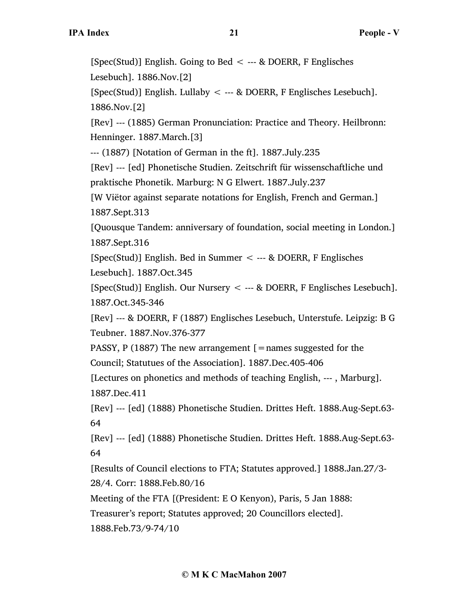$[Spec(Stud)]$  English. Going to Bed  $\lt$  --- & DOERR, F Englisches Lesebuch]. 1886.Nov.[2]

[Spec(Stud)] English. Lullaby < --- & DOERR, F Englisches Lesebuch]. 1886.Nov.[2]

[Rev] --- (1885) German Pronunciation: Practice and Theory. Heilbronn: Henninger. 1887.March.[3]

--- (1887) [Notation of German in the ft]. 1887.July.235

[Rev] --- [ed] Phonetische Studien. Zeitschrift für wissenschaftliche und praktische Phonetik. Marburg: N G Elwert. 1887.July.237

[W Viëtor against separate notations for English, French and German.] 1887.Sept.313

[Quousque Tandem: anniversary of foundation, social meeting in London.] 1887.Sept.316

[Spec(Stud)] English. Bed in Summer < --- & DOERR, F Englisches Lesebuch]. 1887.Oct.345

[Spec(Stud)] English. Our Nursery < --- & DOERR, F Englisches Lesebuch]. 1887.Oct.345-346

[Rev] --- & DOERR, F (1887) Englisches Lesebuch, Unterstufe. Leipzig: B G Teubner. 1887.Nov.376-377

PASSY, P (1887) The new arrangement  $[$  = names suggested for the Council; Statutues of the Association]. 1887.Dec.405-406

[Lectures on phonetics and methods of teaching English, --- , Marburg]. 1887.Dec.411

[Rev] --- [ed] (1888) Phonetische Studien. Drittes Heft. 1888.Aug-Sept.63- 64

[Rev] --- [ed] (1888) Phonetische Studien. Drittes Heft. 1888.Aug-Sept.63- 64

[Results of Council elections to FTA; Statutes approved.] 1888.Jan.27/3- 28/4. Corr: 1888.Feb.80/16

Meeting of the FTA [(President: E O Kenyon), Paris, 5 Jan 1888:

Treasurer's report; Statutes approved; 20 Councillors elected].

1888.Feb.73/9-74/10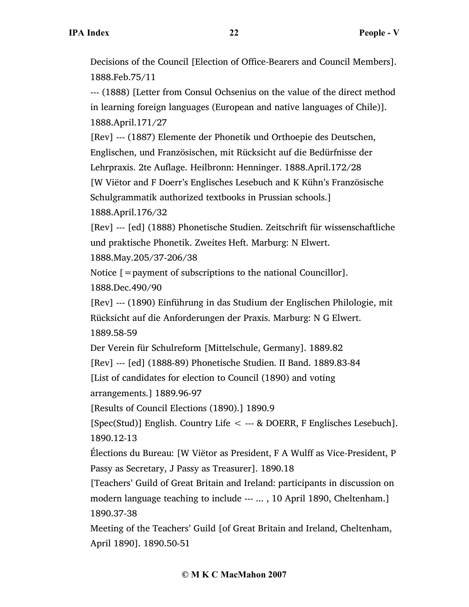Decisions of the Council [Election of Office-Bearers and Council Members]. 1888.Feb.75/11

--- (1888) [Letter from Consul Ochsenius on the value of the direct method in learning foreign languages (European and native languages of Chile)]. 1888.April.171/27

[Rev] --- (1887) Elemente der Phonetik und Orthoepie des Deutschen, Englischen, und Französischen, mit Rücksicht auf die Bedürfnisse der

Lehrpraxis. 2te Auflage. Heilbronn: Henninger. 1888.April.172/28

[W Viëtor and F Doerr's Englisches Lesebuch and K Kühn's Französische Schulgrammatik authorized textbooks in Prussian schools.]

1888.April.176/32

[Rev] --- [ed] (1888) Phonetische Studien. Zeitschrift für wissenschaftliche und praktische Phonetik. Zweites Heft. Marburg: N Elwert.

1888.May.205/37-206/38

Notice [=payment of subscriptions to the national Councillor].

1888.Dec.490/90

[Rev] --- (1890) Einführung in das Studium der Englischen Philologie, mit Rücksicht auf die Anforderungen der Praxis. Marburg: N G Elwert. 1889.58-59

Der Verein für Schulreform [Mittelschule, Germany]. 1889.82

[Rev] --- [ed] (1888-89) Phonetische Studien. II Band. 1889.83-84

[List of candidates for election to Council (1890) and voting arrangements.] 1889.96-97

[Results of Council Elections (1890).] 1890.9

[Spec(Stud)] English. Country Life < --- & DOERR, F Englisches Lesebuch]. 1890.12-13

Élections du Bureau: [W Viëtor as President, F A Wulff as Vice-President, P Passy as Secretary, J Passy as Treasurer]. 1890.18

[Teachers' Guild of Great Britain and Ireland: participants in discussion on modern language teaching to include --- ... , 10 April 1890, Cheltenham.] 1890.37-38

Meeting of the Teachers' Guild [of Great Britain and Ireland, Cheltenham, April 1890]. 1890.50-51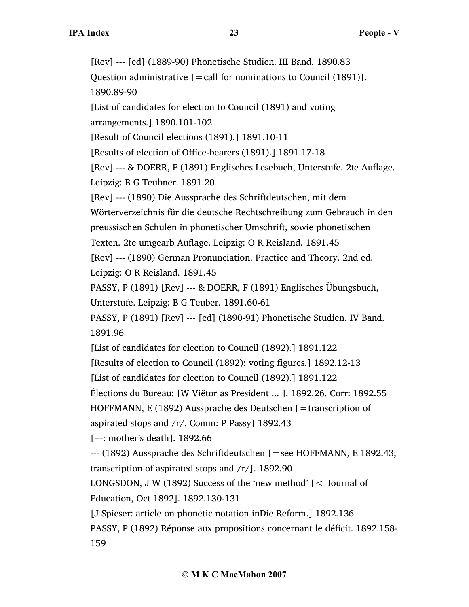[Rev] --- [ed] (1889-90) Phonetische Studien. III Band. 1890.83 Question administrative  $[=$  call for nominations to Council (1891)]. 1890.89-90 [List of candidates for election to Council (1891) and voting arrangements.] 1890.101-102 [Result of Council elections (1891).] 1891.10-11 [Results of election of Office-bearers (1891).] 1891.17-18 [Rev] --- & DOERR, F (1891) Englisches Lesebuch, Unterstufe. 2te Auflage. Leipzig: B G Teubner. 1891.20 [Rev] --- (1890) Die Aussprache des Schriftdeutschen, mit dem Wörterverzeichnis für die deutsche Rechtschreibung zum Gebrauch in den preussischen Schulen in phonetischer Umschrift, sowie phonetischen Texten. 2te umgearb Auflage. Leipzig: O R Reisland. 1891.45 [Rev] --- (1890) German Pronunciation. Practice and Theory. 2nd ed. Leipzig: O R Reisland. 1891.45 PASSY, P (1891) [Rev] --- & DOERR, F (1891) Englisches Übungsbuch, Unterstufe. Leipzig: B G Teuber. 1891.60-61 PASSY, P (1891) [Rev] --- [ed] (1890-91) Phonetische Studien. IV Band. 1891.96 [List of candidates for election to Council (1892).] 1891.122 [Results of election to Council (1892): voting figures.] 1892.12-13 [List of candidates for election to Council (1892).] 1891.122 Élections du Bureau: [W Viëtor as President ... ]. 1892.26. Corr: 1892.55 HOFFMANN, E (1892) Aussprache des Deutschen [=transcription of aspirated stops and  $/r$ . Comm: P Passy] 1892.43 [---: mother's death]. 1892.66 --- (1892) Aussprache des Schriftdeutschen [=see HOFFMANN, E 1892.43; transcription of aspirated stops and /r/]. 1892.90 LONGSDON, J W (1892) Success of the 'new method' [< Journal of Education, Oct 1892]. 1892.130-131 [J Spieser: article on phonetic notation inDie Reform.] 1892.136 PASSY, P (1892) Réponse aux propositions concernant le déficit. 1892.158- 159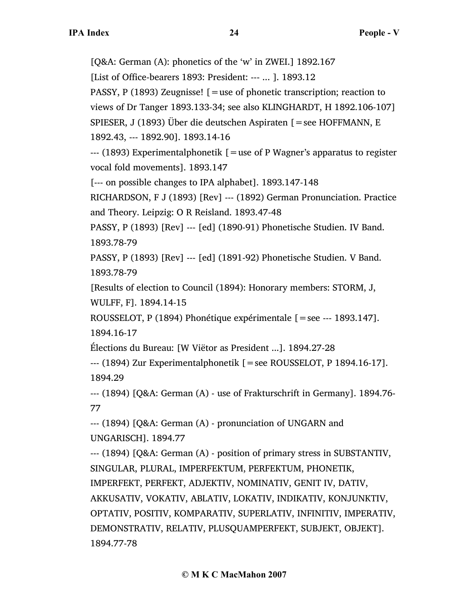[Q&A: German (A): phonetics of the 'w' in ZWEI.] 1892.167

[List of Office-bearers 1893: President: --- ... ]. 1893.12

PASSY, P (1893) Zeugnisse!  $\mathcal{F}$  = use of phonetic transcription; reaction to

views of Dr Tanger 1893.133-34; see also KLINGHARDT, H 1892.106-107]

SPIESER, J (1893) Über die deutschen Aspiraten [=see HOFFMANN, E

1892.43, --- 1892.90]. 1893.14-16

 $-$ -- $(1893)$  Experimentalphonetik  $=$ use of P Wagner's apparatus to register vocal fold movements]. 1893.147

[--- on possible changes to IPA alphabet]. 1893.147-148

RICHARDSON, F J (1893) [Rev] --- (1892) German Pronunciation. Practice and Theory. Leipzig: O R Reisland. 1893.47-48

PASSY, P (1893) [Rev] --- [ed] (1890-91) Phonetische Studien. IV Band. 1893.78-79

PASSY, P (1893) [Rev] --- [ed] (1891-92) Phonetische Studien. V Band. 1893.78-79

[Results of election to Council (1894): Honorary members: STORM, J, WULFF, F]. 1894.14-15

ROUSSELOT, P (1894) Phonétique expérimentale [=see --- 1893.147].

1894.16-17

Élections du Bureau: [W Viëtor as President ...]. 1894.27-28

 $-$ -- $(1894)$  Zur Experimentalphonetik  $[=$ see ROUSSELOT, P 1894.16-17]. 1894.29

--- (1894) [Q&A: German (A) - use of Frakturschrift in Germany]. 1894.76- 77

--- (1894) [Q&A: German (A) - pronunciation of UNGARN and UNGARISCH]. 1894.77

--- (1894) [Q&A: German (A) - position of primary stress in SUBSTANTIV, SINGULAR, PLURAL, IMPERFEKTUM, PERFEKTUM, PHONETIK, IMPERFEKT, PERFEKT, ADJEKTIV, NOMINATIV, GENIT IV, DATIV, AKKUSATIV, VOKATIV, ABLATIV, LOKATIV, INDIKATIV, KONJUNKTIV, OPTATIV, POSITIV, KOMPARATIV, SUPERLATIV, INFINITIV, IMPERATIV, DEMONSTRATIV, RELATIV, PLUSQUAMPERFEKT, SUBJEKT, OBJEKT]. 1894.77-78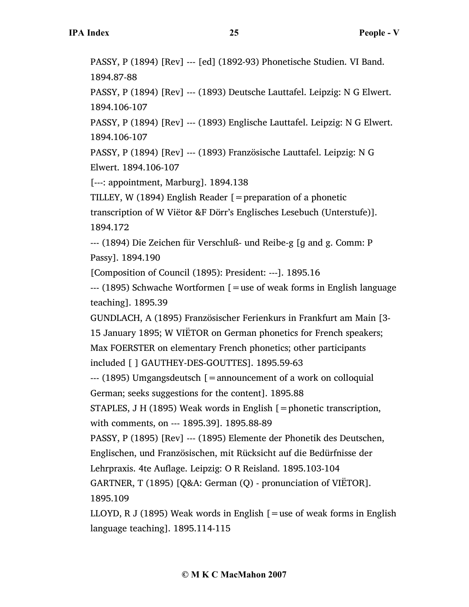PASSY, P (1894) [Rev] --- [ed] (1892-93) Phonetische Studien. VI Band. 1894.87-88 PASSY, P (1894) [Rev] --- (1893) Deutsche Lauttafel. Leipzig: N G Elwert. 1894.106-107 PASSY, P (1894) [Rev] --- (1893) Englische Lauttafel. Leipzig: N G Elwert. 1894.106-107 PASSY, P (1894) [Rev] --- (1893) Französische Lauttafel. Leipzig: N G Elwert. 1894.106-107 [---: appointment, Marburg]. 1894.138 TILLEY, W (1894) English Reader  $[$  = preparation of a phonetic transcription of W Viëtor &F Dörr's Englisches Lesebuch (Unterstufe)]. 1894.172 --- (1894) Die Zeichen für Verschluß- und Reibe-g [ɡ and g. Comm: P Passy]. 1894.190 [Composition of Council (1895): President: ---]. 1895.16  $-$ -- (1895) Schwache Wortformen  $=$  use of weak forms in English language teaching]. 1895.39 GUNDLACH, A (1895) Französischer Ferienkurs in Frankfurt am Main [3- 15 January 1895; W VIËTOR on German phonetics for French speakers; Max FOERSTER on elementary French phonetics; other participants included [ ] GAUTHEY-DES-GOUTTES]. 1895.59-63 --- (1895) Umgangsdeutsch [=announcement of a work on colloquial German; seeks suggestions for the content]. 1895.88 STAPLES, J H (1895) Weak words in English [=phonetic transcription, with comments, on --- 1895.39]. 1895.88-89 PASSY, P (1895) [Rev] --- (1895) Elemente der Phonetik des Deutschen, Englischen, und Französischen, mit Rücksicht auf die Bedürfnisse der Lehrpraxis. 4te Auflage. Leipzig: O R Reisland. 1895.103-104 GARTNER, T (1895) [Q&A: German (Q) - pronunciation of VIËTOR]. 1895.109 LLOYD, R J (1895) Weak words in English  $[=$ use of weak forms in English

language teaching]. 1895.114-115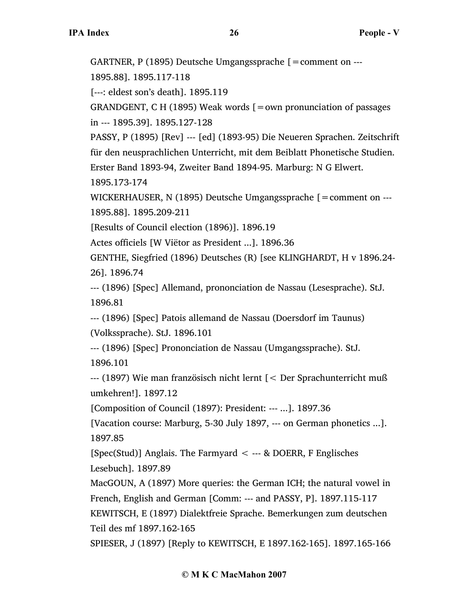GARTNER, P (1895) Deutsche Umgangssprache [=comment on ---

1895.88]. 1895.117-118

[---: eldest son's death]. 1895.119

GRANDGENT, C H (1895) Weak words  $\mathcal{I} =$  own pronunciation of passages in --- 1895.39]. 1895.127-128

PASSY, P (1895) [Rev] --- [ed] (1893-95) Die Neueren Sprachen. Zeitschrift für den neusprachlichen Unterricht, mit dem Beiblatt Phonetische Studien.

Erster Band 1893-94, Zweiter Band 1894-95. Marburg: N G Elwert.

1895.173-174

WICKERHAUSER, N (1895) Deutsche Umgangssprache [=comment on --- 1895.88]. 1895.209-211

[Results of Council election (1896)]. 1896.19

Actes officiels [W Viëtor as President ...]. 1896.36

GENTHE, Siegfried (1896) Deutsches (R) [see KLINGHARDT, H v 1896.24- 26]. 1896.74

--- (1896) [Spec] Allemand, prononciation de Nassau (Lesesprache). StJ. 1896.81

--- (1896) [Spec] Patois allemand de Nassau (Doersdorf im Taunus) (Volkssprache). StJ. 1896.101

--- (1896) [Spec] Prononciation de Nassau (Umgangssprache). StJ. 1896.101

--- (1897) Wie man französisch nicht lernt [< Der Sprachunterricht muß umkehren!]. 1897.12

[Composition of Council (1897): President: --- ...]. 1897.36

[Vacation course: Marburg, 5-30 July 1897, --- on German phonetics ...]. 1897.85

 $[Spec(Stud)]$  Anglais. The Farmyard  $\lt$  --- & DOERR, F Englisches Lesebuch]. 1897.89

MacGOUN, A (1897) More queries: the German ICH; the natural vowel in French, English and German [Comm: --- and PASSY, P]. 1897.115-117 KEWITSCH, E (1897) Dialektfreie Sprache. Bemerkungen zum deutschen

Teil des mf 1897.162-165

SPIESER, J (1897) [Reply to KEWITSCH, E 1897.162-165]. 1897.165-166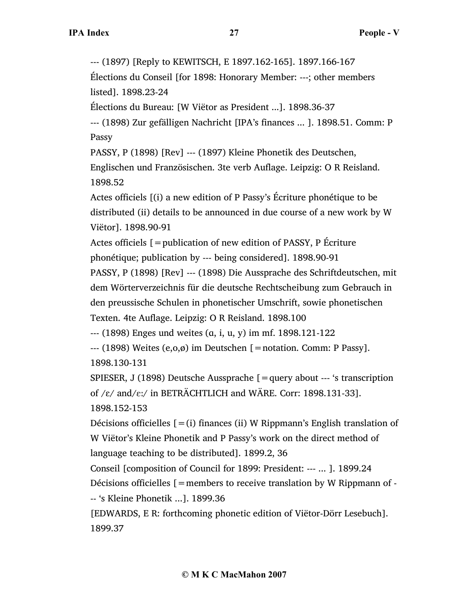--- (1897) [Reply to KEWITSCH, E 1897.162-165]. 1897.166-167

Élections du Conseil [for 1898: Honorary Member: ---; other members listed]. 1898.23-24

Élections du Bureau: [W Viëtor as President ...]. 1898.36-37

--- (1898) Zur gefälligen Nachricht [IPA's finances ... ]. 1898.51. Comm: P Passy

PASSY, P (1898) [Rev] --- (1897) Kleine Phonetik des Deutschen,

Englischen und Französischen. 3te verb Auflage. Leipzig: O R Reisland. 1898.52

Actes officiels [(i) a new edition of P Passy's Écriture phonétique to be distributed (ii) details to be announced in due course of a new work by W Viëtor]. 1898.90-91

Actes officiels [=publication of new edition of PASSY, P Écriture phonétique; publication by --- being considered]. 1898.90-91

PASSY, P (1898) [Rev] --- (1898) Die Aussprache des Schriftdeutschen, mit dem Wörterverzeichnis für die deutsche Rechtscheibung zum Gebrauch in den preussische Schulen in phonetischer Umschrift, sowie phonetischen Texten. 4te Auflage. Leipzig: O R Reisland. 1898.100

--- (1898) Enges und weites (ɑ, i, u, y) im mf. 1898.121-122

--- (1898) Weites (e,o,ø) im Deutschen [=notation. Comm: P Passy]. 1898.130-131

SPIESER, J (1898) Deutsche Aussprache [=query about --- 's transcription of  $\ell$  and  $\ell$  in BETRÄCHTLICH and WÄRE. Corr: 1898.131-33].

1898.152-153

Décisions officielles  $[=(i)]$  finances (ii) W Rippmann's English translation of W Viëtor's Kleine Phonetik and P Passy's work on the direct method of language teaching to be distributed]. 1899.2, 36

Conseil [composition of Council for 1899: President: --- ... ]. 1899.24 Décisions officielles [=members to receive translation by W Rippmann of - -- 's Kleine Phonetik ...]. 1899.36

[EDWARDS, E R: forthcoming phonetic edition of Viëtor-Dörr Lesebuch]. 1899.37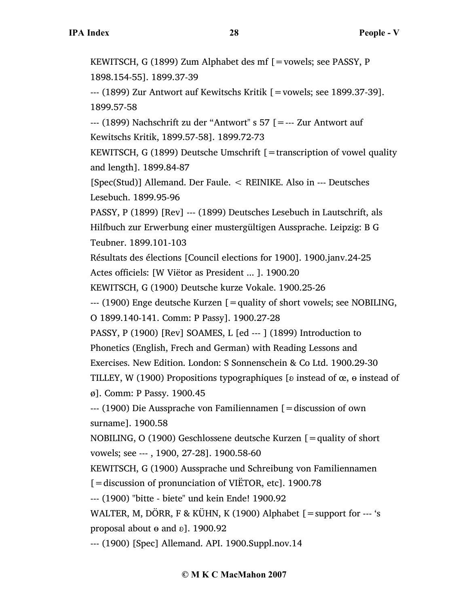KEWITSCH, G (1899) Zum Alphabet des mf [=vowels; see PASSY, P 1898.154-55]. 1899.37-39 --- (1899) Zur Antwort auf Kewitschs Kritik [=vowels; see 1899.37-39]. 1899.57-58 --- (1899) Nachschrift zu der "Antwort" s 57 [=--- Zur Antwort auf Kewitschs Kritik, 1899.57-58]. 1899.72-73 KEWITSCH, G (1899) Deutsche Umschrift  $\mathfrak{f} =$  transcription of vowel quality and length]. 1899.84-87 [Spec(Stud)] Allemand. Der Faule. < REINIKE. Also in --- Deutsches Lesebuch. 1899.95-96 PASSY, P (1899) [Rev] --- (1899) Deutsches Lesebuch in Lautschrift, als Hilfbuch zur Erwerbung einer mustergültigen Aussprache. Leipzig: B G Teubner. 1899.101-103 Résultats des élections [Council elections for 1900]. 1900.janv.24-25 Actes officiels: [W Viëtor as President ... ]. 1900.20 KEWITSCH, G (1900) Deutsche kurze Vokale. 1900.25-26 --- (1900) Enge deutsche Kurzen [=quality of short vowels; see NOBILING, O 1899.140-141. Comm: P Passy]. 1900.27-28 PASSY, P (1900) [Rev] SOAMES, L [ed --- ] (1899) Introduction to Phonetics (English, Frech and German) with Reading Lessons and Exercises. New Edition. London: S Sonnenschein & Co Ltd. 1900.29-30 TILLEY, W (1900) Propositions typographiques [ $\delta$  instead of  $\alpha$ ,  $\theta$  instead of ø]. Comm: P Passy. 1900.45 --- (1900) Die Aussprache von Familiennamen [=discussion of own surname]. 1900.58 NOBILING, O (1900) Geschlossene deutsche Kurzen [=quality of short vowels; see --- , 1900, 27-28]. 1900.58-60 KEWITSCH, G (1900) Aussprache und Schreibung von Familiennamen  $\mathcal{L}$  = discussion of pronunciation of VIETOR, etc]. 1900.78 --- (1900) "bitte - biete" und kein Ende! 1900.92 WALTER, M, DÖRR, F & KÜHN, K (1900) Alphabet [=support for --- 's proposal about  $\theta$  and  $\delta$ ]. 1900.92 --- (1900) [Spec] Allemand. API. 1900.Suppl.nov.14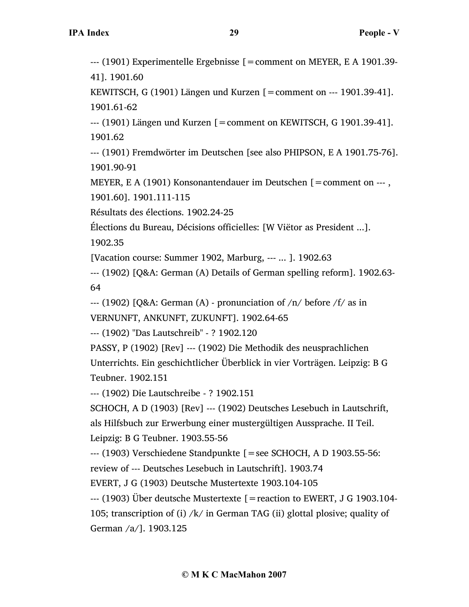--- (1901) Experimentelle Ergebnisse [=comment on MEYER, E A 1901.39- 41]. 1901.60

KEWITSCH, G (1901) Längen und Kurzen [=comment on --- 1901.39-41]. 1901.61-62

--- (1901) Längen und Kurzen [=comment on KEWITSCH, G 1901.39-41]. 1901.62

--- (1901) Fremdwörter im Deutschen [see also PHIPSON, E A 1901.75-76]. 1901.90-91

MEYER, E A (1901) Konsonantendauer im Deutschen [=comment on --- , 1901.60]. 1901.111-115

Résultats des élections. 1902.24-25

Élections du Bureau, Décisions officielles: [W Viëtor as President ...].

1902.35

[Vacation course: Summer 1902, Marburg, --- ... ]. 1902.63

--- (1902) [Q&A: German (A) Details of German spelling reform]. 1902.63- 64

 $-$ -- (1902) [Q&A: German (A) - pronunciation of  $/n/$  before  $/f/$  as in VERNUNFT, ANKUNFT, ZUKUNFT]. 1902.64-65

--- (1902) "Das Lautschreib" - ? 1902.120

PASSY, P (1902) [Rev] --- (1902) Die Methodik des neusprachlichen Unterrichts. Ein geschichtlicher Überblick in vier Vorträgen. Leipzig: B G Teubner. 1902.151

--- (1902) Die Lautschreibe - ? 1902.151

SCHOCH, A D (1903) [Rev] --- (1902) Deutsches Lesebuch in Lautschrift, als Hilfsbuch zur Erwerbung einer mustergültigen Aussprache. II Teil.

Leipzig: B G Teubner. 1903.55-56

--- (1903) Verschiedene Standpunkte [=see SCHOCH, A D 1903.55-56:

review of --- Deutsches Lesebuch in Lautschrift]. 1903.74

EVERT, J G (1903) Deutsche Mustertexte 1903.104-105

--- (1903) Über deutsche Mustertexte [=reaction to EWERT, J G 1903.104-

105; transcription of (i) /k/ in German TAG (ii) glottal plosive; quality of German /a/]. 1903.125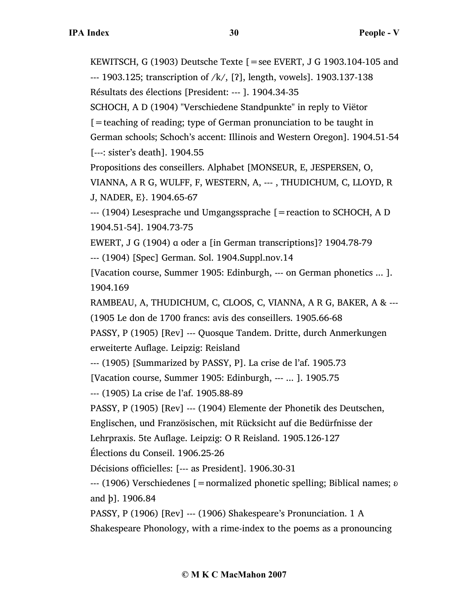KEWITSCH, G (1903) Deutsche Texte  $[=$ see EVERT, J G 1903.104-105 and  $-$ --1903.125; transcription of /k/, [?], length, vowels]. 1903.137-138 Résultats des élections [President: --- ]. 1904.34-35 SCHOCH, A D (1904) "Verschiedene Standpunkte" in reply to Viëtor [=teaching of reading; type of German pronunciation to be taught in German schools; Schoch's accent: Illinois and Western Oregon]. 1904.51-54 [---: sister's death]. 1904.55 Propositions des conseillers. Alphabet [MONSEUR, E, JESPERSEN, O, VIANNA, A R G, WULFF, F, WESTERN, A, --- , THUDICHUM, C, LLOYD, R J, NADER, E}. 1904.65-67  $-$ -- $(1904)$  Lesesprache und Umgangssprache [=reaction to SCHOCH, A D 1904.51-54]. 1904.73-75 EWERT, J G (1904) ɑ oder a [in German transcriptions]? 1904.78-79 --- (1904) [Spec] German. Sol. 1904.Suppl.nov.14 [Vacation course, Summer 1905: Edinburgh, --- on German phonetics ... ]. 1904.169 RAMBEAU, A, THUDICHUM, C, CLOOS, C, VIANNA, A R G, BAKER, A & --- (1905 Le don de 1700 francs: avis des conseillers. 1905.66-68 PASSY, P (1905) [Rev] --- Quosque Tandem. Dritte, durch Anmerkungen erweiterte Auflage. Leipzig: Reisland --- (1905) [Summarized by PASSY, P]. La crise de l'af. 1905.73 [Vacation course, Summer 1905: Edinburgh, --- ... ]. 1905.75

--- (1905) La crise de l'af. 1905.88-89

PASSY, P (1905) [Rev] --- (1904) Elemente der Phonetik des Deutschen,

Englischen, und Französischen, mit Rücksicht auf die Bedürfnisse der

Lehrpraxis. 5te Auflage. Leipzig: O R Reisland. 1905.126-127

Élections du Conseil. 1906.25-26

Décisions officielles: [--- as President]. 1906.30-31

 $--$  (1906) Verschiedenes  $\mathfrak{g} =$  normalized phonetic spelling; Biblical names;  $\mathfrak{g} =$ and þ]. 1906.84

PASSY, P (1906) [Rev] --- (1906) Shakespeare's Pronunciation. 1 A Shakespeare Phonology, with a rime-index to the poems as a pronouncing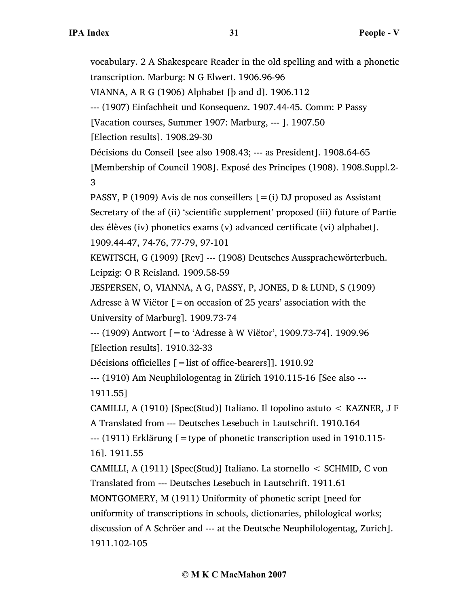vocabulary. 2 A Shakespeare Reader in the old spelling and with a phonetic transcription. Marburg: N G Elwert. 1906.96-96 VIANNA, A R G (1906) Alphabet [þ and d]. 1906.112 --- (1907) Einfachheit und Konsequenz. 1907.44-45. Comm: P Passy [Vacation courses, Summer 1907: Marburg, --- ]. 1907.50 [Election results]. 1908.29-30 Décisions du Conseil [see also 1908.43; --- as President]. 1908.64-65 [Membership of Council 1908]. Exposé des Principes (1908). 1908.Suppl.2- 3 PASSY, P (1909) Avis de nos conseillers  $[=(i)$  DJ proposed as Assistant Secretary of the af (ii) 'scientific supplement' proposed (iii) future of Partie des élèves (iv) phonetics exams (v) advanced certificate (vi) alphabet]. 1909.44-47, 74-76, 77-79, 97-101 KEWITSCH, G (1909) [Rev] --- (1908) Deutsches Aussprachewörterbuch. Leipzig: O R Reisland. 1909.58-59 JESPERSEN, O, VIANNA, A G, PASSY, P, JONES, D & LUND, S (1909) Adresse à W Viëtor  $[=$  on occasion of 25 years' association with the University of Marburg]. 1909.73-74 --- (1909) Antwort [=to 'Adresse à W Viëtor', 1909.73-74]. 1909.96 [Election results]. 1910.32-33 Décisions officielles [=list of office-bearers]]. 1910.92 --- (1910) Am Neuphilologentag in Zürich 1910.115-16 [See also --- 1911.55] CAMILLI, A (1910) [Spec(Stud)] Italiano. Il topolino astuto < KAZNER, J F A Translated from --- Deutsches Lesebuch in Lautschrift. 1910.164 --- (1911) Erklärung [=type of phonetic transcription used in 1910.115- 16]. 1911.55 CAMILLI, A (1911) [Spec(Stud)] Italiano. La stornello < SCHMID, C von Translated from --- Deutsches Lesebuch in Lautschrift. 1911.61 MONTGOMERY, M (1911) Uniformity of phonetic script [need for uniformity of transcriptions in schools, dictionaries, philological works; discussion of A Schröer and --- at the Deutsche Neuphilologentag, Zurich]. 1911.102-105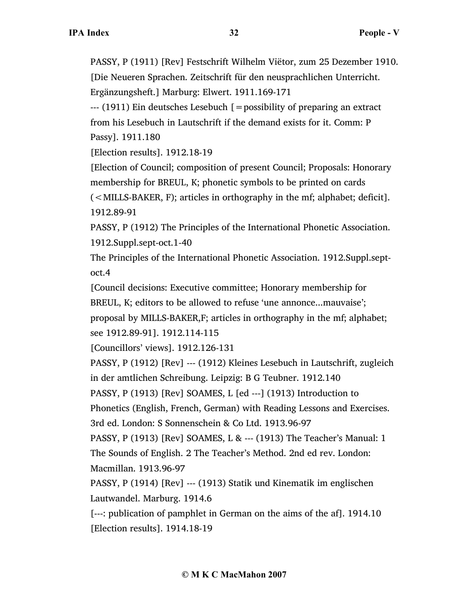PASSY, P (1911) [Rev] Festschrift Wilhelm Viëtor, zum 25 Dezember 1910. [Die Neueren Sprachen. Zeitschrift für den neusprachlichen Unterricht. Ergänzungsheft.] Marburg: Elwert. 1911.169-171

 $-$ -- (1911) Ein deutsches Lesebuch  $\mathfrak{f}$  = possibility of preparing an extract from his Lesebuch in Lautschrift if the demand exists for it. Comm: P Passy]. 1911.180

[Election results]. 1912.18-19

[Election of Council; composition of present Council; Proposals: Honorary membership for BREUL, K; phonetic symbols to be printed on cards (<MILLS-BAKER, F); articles in orthography in the mf; alphabet; deficit].

1912.89-91

PASSY, P (1912) The Principles of the International Phonetic Association. 1912.Suppl.sept-oct.1-40

The Principles of the International Phonetic Association. 1912.Suppl.septoct.4

[Council decisions: Executive committee; Honorary membership for BREUL, K; editors to be allowed to refuse 'une annonce...mauvaise'; proposal by MILLS-BAKER,F; articles in orthography in the mf; alphabet; see 1912.89-91]. 1912.114-115

[Councillors' views]. 1912.126-131

PASSY, P (1912) [Rev] --- (1912) Kleines Lesebuch in Lautschrift, zugleich in der amtlichen Schreibung. Leipzig: B G Teubner. 1912.140

PASSY, P (1913) [Rev] SOAMES, L [ed ---] (1913) Introduction to

Phonetics (English, French, German) with Reading Lessons and Exercises. 3rd ed. London: S Sonnenschein & Co Ltd. 1913.96-97

PASSY, P (1913) [Rev] SOAMES, L & --- (1913) The Teacher's Manual: 1 The Sounds of English. 2 The Teacher's Method. 2nd ed rev. London: Macmillan. 1913.96-97

PASSY, P (1914) [Rev] --- (1913) Statik und Kinematik im englischen Lautwandel. Marburg. 1914.6

[---: publication of pamphlet in German on the aims of the af]. 1914.10 [Election results]. 1914.18-19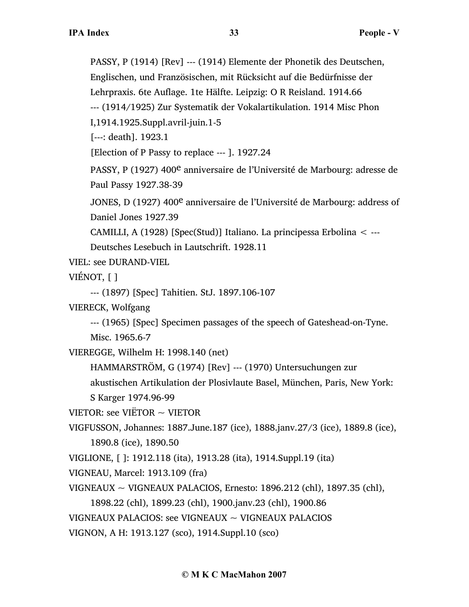PASSY, P (1914) [Rev] --- (1914) Elemente der Phonetik des Deutschen, Englischen, und Französischen, mit Rücksicht auf die Bedürfnisse der Lehrpraxis. 6te Auflage. 1te Hälfte. Leipzig: O R Reisland. 1914.66

--- (1914/1925) Zur Systematik der Vokalartikulation. 1914 Misc Phon

I,1914.1925.Suppl.avril-juin.1-5

[---: death]. 1923.1

[Election of P Passy to replace --- ]. 1927.24

PASSY, P (1927) 400e anniversaire de l'Université de Marbourg: adresse de Paul Passy 1927.38-39

JONES, D (1927) 400<sup>e</sup> anniversaire de l'Université de Marbourg: address of Daniel Jones 1927.39

CAMILLI, A (1928) [Spec(Stud)] Italiano. La principessa Erbolina < ---

Deutsches Lesebuch in Lautschrift. 1928.11

VIEL: see DURAND-VIEL

VIÉNOT, [ ]

```
--- (1897) [Spec] Tahitien. StJ. 1897.106-107
```
VIERECK, Wolfgang

--- (1965) [Spec] Specimen passages of the speech of Gateshead-on-Tyne.

Misc. 1965.6-7

VIEREGGE, Wilhelm H: 1998.140 (net)

HAMMARSTRÖM, G (1974) [Rev] --- (1970) Untersuchungen zur

akustischen Artikulation der Plosivlaute Basel, München, Paris, New York: S Karger 1974.96-99

VIETOR: see VIËTOR ~ VIETOR

VIGFUSSON, Johannes: 1887.June.187 (ice), 1888.janv.27/3 (ice), 1889.8 (ice), 1890.8 (ice), 1890.50

VIGLIONE, [ ]: 1912.118 (ita), 1913.28 (ita), 1914.Suppl.19 (ita)

VIGNEAU, Marcel: 1913.109 (fra)

VIGNEAUX  $\sim$  VIGNEAUX PALACIOS, Ernesto: 1896.212 (chl), 1897.35 (chl),

1898.22 (chl), 1899.23 (chl), 1900.janv.23 (chl), 1900.86

VIGNEAUX PALACIOS: see VIGNEAUX ~ VIGNEAUX PALACIOS

VIGNON, A H: 1913.127 (sco), 1914.Suppl.10 (sco)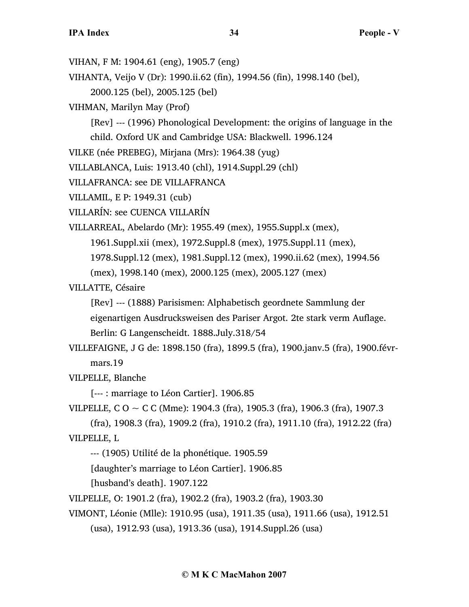- VIHAN, F M: 1904.61 (eng), 1905.7 (eng)
- VIHANTA, Veijo V (Dr): 1990.ii.62 (fin), 1994.56 (fin), 1998.140 (bel),
	- 2000.125 (bel), 2005.125 (bel)
- VIHMAN, Marilyn May (Prof)
	- [Rev] --- (1996) Phonological Development: the origins of language in the
	- child. Oxford UK and Cambridge USA: Blackwell. 1996.124
- VILKE (née PREBEG), Mirjana (Mrs): 1964.38 (yug)
- VILLABLANCA, Luis: 1913.40 (chl), 1914.Suppl.29 (chl)
- VILLAFRANCA: see DE VILLAFRANCA
- VILLAMIL, E P: 1949.31 (cub)
- VILLARÍN: see CUENCA VILLARÍN
- VILLARREAL, Abelardo (Mr): 1955.49 (mex), 1955.Suppl.x (mex),
	- 1961.Suppl.xii (mex), 1972.Suppl.8 (mex), 1975.Suppl.11 (mex),
	- 1978.Suppl.12 (mex), 1981.Suppl.12 (mex), 1990.ii.62 (mex), 1994.56
	- (mex), 1998.140 (mex), 2000.125 (mex), 2005.127 (mex)
- VILLATTE, Césaire
	- [Rev] --- (1888) Parisismen: Alphabetisch geordnete Sammlung der
	- eigenartigen Ausdrucksweisen des Pariser Argot. 2te stark verm Auflage.
	- Berlin: G Langenscheidt. 1888.July.318/54
- VILLEFAIGNE, J G de: 1898.150 (fra), 1899.5 (fra), 1900.janv.5 (fra), 1900.févrmars.19
- VILPELLE, Blanche
	- [--- : marriage to Léon Cartier]. 1906.85
- VILPELLE, C O  $\sim$  C C (Mme): 1904.3 (fra), 1905.3 (fra), 1906.3 (fra), 1907.3
- (fra), 1908.3 (fra), 1909.2 (fra), 1910.2 (fra), 1911.10 (fra), 1912.22 (fra) VILPELLE, L
	- --- (1905) Utilité de la phonétique. 1905.59
	- [daughter's marriage to Léon Cartier]. 1906.85
	- [husband's death]. 1907.122
- VILPELLE, O: 1901.2 (fra), 1902.2 (fra), 1903.2 (fra), 1903.30
- VIMONT, Léonie (Mlle): 1910.95 (usa), 1911.35 (usa), 1911.66 (usa), 1912.51
	- (usa), 1912.93 (usa), 1913.36 (usa), 1914.Suppl.26 (usa)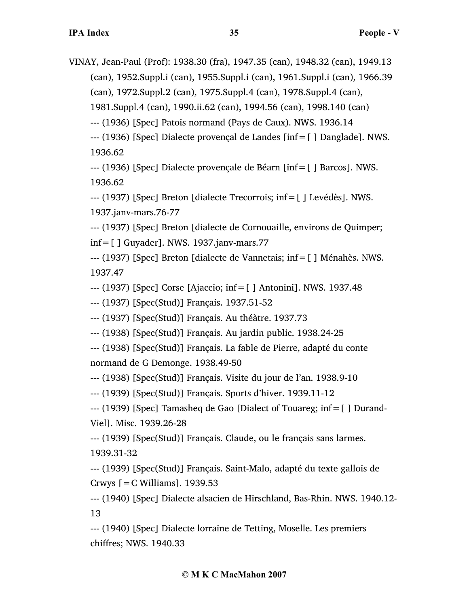VINAY, Jean-Paul (Prof): 1938.30 (fra), 1947.35 (can), 1948.32 (can), 1949.13 (can), 1952.Suppl.i (can), 1955.Suppl.i (can), 1961.Suppl.i (can), 1966.39 (can), 1972.Suppl.2 (can), 1975.Suppl.4 (can), 1978.Suppl.4 (can), 1981.Suppl.4 (can), 1990.ii.62 (can), 1994.56 (can), 1998.140 (can) --- (1936) [Spec] Patois normand (Pays de Caux). NWS. 1936.14

--- (1936) [Spec] Dialecte provençal de Landes [inf=[ ] Danglade]. NWS. 1936.62

--- (1936) [Spec] Dialecte provençale de Béarn [inf=[ ] Barcos]. NWS. 1936.62

--- (1937) [Spec] Breton [dialecte Trecorrois; inf=[ ] Levédès]. NWS. 1937.janv-mars.76-77

--- (1937) [Spec] Breton [dialecte de Cornouaille, environs de Quimper; inf=[ ] Guyader]. NWS. 1937.janv-mars.77

--- (1937) [Spec] Breton [dialecte de Vannetais; inf=[ ] Ménahès. NWS. 1937.47

--- (1937) [Spec] Corse [Ajaccio; inf=[ ] Antonini]. NWS. 1937.48

--- (1937) [Spec(Stud)] Français. 1937.51-52

--- (1937) [Spec(Stud)] Français. Au théàtre. 1937.73

--- (1938) [Spec(Stud)] Français. Au jardin public. 1938.24-25

--- (1938) [Spec(Stud)] Français. La fable de Pierre, adapté du conte normand de G Demonge. 1938.49-50

--- (1938) [Spec(Stud)] Français. Visite du jour de l'an. 1938.9-10

--- (1939) [Spec(Stud)] Français. Sports d'hiver. 1939.11-12

--- (1939) [Spec] Tamasheq de Gao [Dialect of Touareg; inf=[ ] Durand-Viel]. Misc. 1939.26-28

--- (1939) [Spec(Stud)] Français. Claude, ou le français sans larmes. 1939.31-32

--- (1939) [Spec(Stud)] Français. Saint-Malo, adapté du texte gallois de Crwys  $\lceil$  = C Williams]. 1939.53

--- (1940) [Spec] Dialecte alsacien de Hirschland, Bas-Rhin. NWS. 1940.12- 13

--- (1940) [Spec] Dialecte lorraine de Tetting, Moselle. Les premiers chiffres; NWS. 1940.33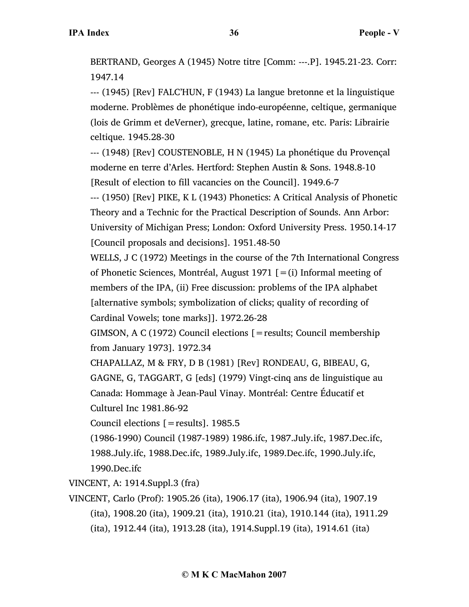BERTRAND, Georges A (1945) Notre titre [Comm: ---.P]. 1945.21-23. Corr: 1947.14

--- (1945) [Rev] FALC'HUN, F (1943) La langue bretonne et la linguistique moderne. Problèmes de phonétique indo-européenne, celtique, germanique (lois de Grimm et deVerner), grecque, latine, romane, etc. Paris: Librairie celtique. 1945.28-30

--- (1948) [Rev] COUSTENOBLE, H N (1945) La phonétique du Provençal moderne en terre d'Arles. Hertford: Stephen Austin & Sons. 1948.8-10 [Result of election to fill vacancies on the Council]. 1949.6-7

--- (1950) [Rev] PIKE, K L (1943) Phonetics: A Critical Analysis of Phonetic Theory and a Technic for the Practical Description of Sounds. Ann Arbor: University of Michigan Press; London: Oxford University Press. 1950.14-17 [Council proposals and decisions]. 1951.48-50

WELLS, J C (1972) Meetings in the course of the 7th International Congress of Phonetic Sciences, Montréal, August 1971  $[=(i)]$  Informal meeting of members of the IPA, (ii) Free discussion: problems of the IPA alphabet [alternative symbols; symbolization of clicks; quality of recording of Cardinal Vowels; tone marks]]. 1972.26-28

GIMSON, A C (1972) Council elections [=results; Council membership from January 1973]. 1972.34

CHAPALLAZ, M & FRY, D B (1981) [Rev] RONDEAU, G, BIBEAU, G,

GAGNE, G, TAGGART, G [eds] (1979) Vingt-cinq ans de linguistique au Canada: Hommage à Jean-Paul Vinay. Montréal: Centre Éducatif et

Culturel Inc 1981.86-92

Council elections  $[|=$ results]. 1985.5

(1986-1990) Council (1987-1989) 1986.ifc, 1987.July.ifc, 1987.Dec.ifc, 1988.July.ifc, 1988.Dec.ifc, 1989.July.ifc, 1989.Dec.ifc, 1990.July.ifc, 1990.Dec.ifc

VINCENT, A: 1914.Suppl.3 (fra)

VINCENT, Carlo (Prof): 1905.26 (ita), 1906.17 (ita), 1906.94 (ita), 1907.19 (ita), 1908.20 (ita), 1909.21 (ita), 1910.21 (ita), 1910.144 (ita), 1911.29 (ita), 1912.44 (ita), 1913.28 (ita), 1914.Suppl.19 (ita), 1914.61 (ita)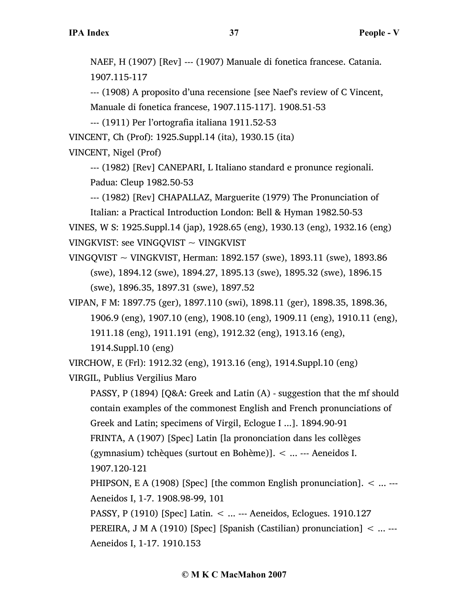NAEF, H (1907) [Rev] --- (1907) Manuale di fonetica francese. Catania. 1907.115-117

--- (1908) A proposito d'una recensione [see Naef's review of C Vincent, Manuale di fonetica francese, 1907.115-117]. 1908.51-53

--- (1911) Per l'ortografia italiana 1911.52-53

VINCENT, Ch (Prof): 1925.Suppl.14 (ita), 1930.15 (ita)

VINCENT, Nigel (Prof)

--- (1982) [Rev] CANEPARI, L Italiano standard e pronunce regionali. Padua: Cleup 1982.50-53

--- (1982) [Rev] CHAPALLAZ, Marguerite (1979) The Pronunciation of Italian: a Practical Introduction London: Bell & Hyman 1982.50-53 VINES, W S: 1925.Suppl.14 (jap), 1928.65 (eng), 1930.13 (eng), 1932.16 (eng) VINGKVIST: see VINGQVIST  $\sim$  VINGKVIST

VINGQVIST ~ VINGKVIST, Herman: 1892.157 (swe), 1893.11 (swe), 1893.86 (swe), 1894.12 (swe), 1894.27, 1895.13 (swe), 1895.32 (swe), 1896.15 (swe), 1896.35, 1897.31 (swe), 1897.52

VIPAN, F M: 1897.75 (ger), 1897.110 (swi), 1898.11 (ger), 1898.35, 1898.36, 1906.9 (eng), 1907.10 (eng), 1908.10 (eng), 1909.11 (eng), 1910.11 (eng), 1911.18 (eng), 1911.191 (eng), 1912.32 (eng), 1913.16 (eng), 1914.Suppl.10 (eng)

VIRCHOW, E (Frl): 1912.32 (eng), 1913.16 (eng), 1914.Suppl.10 (eng) VIRGIL, Publius Vergilius Maro

PASSY, P (1894) [Q&A: Greek and Latin (A) - suggestion that the mf should contain examples of the commonest English and French pronunciations of Greek and Latin; specimens of Virgil, Eclogue I ...]. 1894.90-91

FRINTA, A (1907) [Spec] Latin [la prononciation dans les collèges

(gymnasium) tchèques (surtout en Bohème)]. < ... --- Aeneidos I. 1907.120-121

PHIPSON, E A (1908) [Spec] [the common English pronunciation]. < ... --- Aeneidos I, 1-7. 1908.98-99, 101

PASSY, P (1910) [Spec] Latin. < ... --- Aeneidos, Eclogues. 1910.127 PEREIRA, J M A (1910) [Spec] [Spanish (Castilian) pronunciation] < ... --- Aeneidos I, 1-17. 1910.153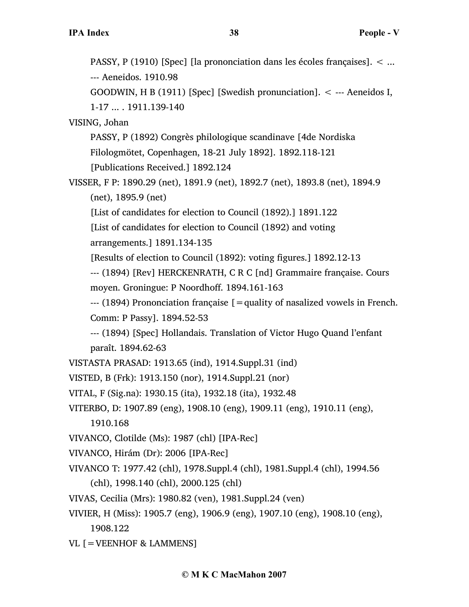PASSY, P (1910) [Spec] [la prononciation dans les écoles françaises]. < ... --- Aeneidos. 1910.98

GOODWIN, H B (1911) [Spec] [Swedish pronunciation]. < --- Aeneidos I, 1-17 ... . 1911.139-140

VISING, Johan

PASSY, P (1892) Congrès philologique scandinave [4de Nordiska Filologmötet, Copenhagen, 18-21 July 1892]. 1892.118-121

[Publications Received.] 1892.124

VISSER, F P: 1890.29 (net), 1891.9 (net), 1892.7 (net), 1893.8 (net), 1894.9 (net), 1895.9 (net)

[List of candidates for election to Council (1892).] 1891.122

[List of candidates for election to Council (1892) and voting

arrangements.] 1891.134-135

[Results of election to Council (1892): voting figures.] 1892.12-13

--- (1894) [Rev] HERCKENRATH, C R C [nd] Grammaire française. Cours moyen. Groningue: P Noordhoff. 1894.161-163

--- (1894) Prononciation française [=quality of nasalized vowels in French. Comm: P Passy]. 1894.52-53

--- (1894) [Spec] Hollandais. Translation of Victor Hugo Quand l'enfant paraît. 1894.62-63

VISTASTA PRASAD: 1913.65 (ind), 1914.Suppl.31 (ind)

VISTED, B (Frk): 1913.150 (nor), 1914.Suppl.21 (nor)

VITAL, F (Sig.na): 1930.15 (ita), 1932.18 (ita), 1932.48

VITERBO, D: 1907.89 (eng), 1908.10 (eng), 1909.11 (eng), 1910.11 (eng),

1910.168

VIVANCO, Clotilde (Ms): 1987 (chl) [IPA-Rec]

VIVANCO, Hirám (Dr): 2006 [IPA-Rec]

VIVANCO T: 1977.42 (chl), 1978.Suppl.4 (chl), 1981.Suppl.4 (chl), 1994.56 (chl), 1998.140 (chl), 2000.125 (chl)

VIVAS, Cecilia (Mrs): 1980.82 (ven), 1981.Suppl.24 (ven)

VIVIER, H (Miss): 1905.7 (eng), 1906.9 (eng), 1907.10 (eng), 1908.10 (eng), 1908.122

VL [=VEENHOF & LAMMENS]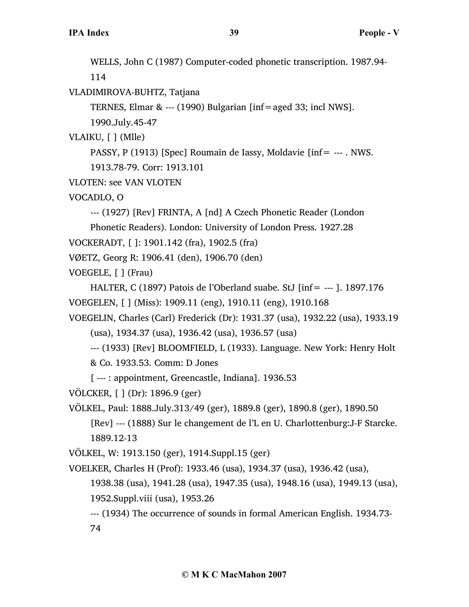WELLS, John C (1987) Computer-coded phonetic transcription. 1987.94- 114

VLADIMIROVA-BUHTZ, Tatjana

TERNES, Elmar & --- (1990) Bulgarian [inf=aged 33; incl NWS].

1990.July.45-47

VLAIKU, [ ] (Mlle)

PASSY, P (1913) [Spec] Roumain de Iassy, Moldavie [inf= --- . NWS. 1913.78-79. Corr: 1913.101

- VLOTEN: see VAN VLOTEN
- VOCADLO, O

--- (1927) [Rev] FRINTA, A [nd] A Czech Phonetic Reader (London

Phonetic Readers). London: University of London Press. 1927.28

VOCKERADT, [ ]: 1901.142 (fra), 1902.5 (fra)

VØETZ, Georg R: 1906.41 (den), 1906.70 (den)

VOEGELE, [ ] (Frau)

HALTER, C (1897) Patois de l'Oberland suabe. StJ [inf= --- ]. 1897.176 VOEGELEN, [ ] (Miss): 1909.11 (eng), 1910.11 (eng), 1910.168

VOEGELIN, Charles (Carl) Frederick (Dr): 1931.37 (usa), 1932.22 (usa), 1933.19

(usa), 1934.37 (usa), 1936.42 (usa), 1936.57 (usa)

--- (1933) [Rev] BLOOMFIELD, L (1933). Language. New York: Henry Holt

& Co. 1933.53. Comm: D Jones

[ --- : appointment, Greencastle, Indiana]. 1936.53

VÖLCKER, [ ] (Dr): 1896.9 (ger)

VÖLKEL, Paul: 1888.July.313/49 (ger), 1889.8 (ger), 1890.8 (ger), 1890.50 [Rev] --- (1888) Sur le changement de l'L en U. Charlottenburg:J-F Starcke. 1889.12-13

VÖLKEL, W: 1913.150 (ger), 1914.Suppl.15 (ger)

VOELKER, Charles H (Prof): 1933.46 (usa), 1934.37 (usa), 1936.42 (usa),

1938.38 (usa), 1941.28 (usa), 1947.35 (usa), 1948.16 (usa), 1949.13 (usa), 1952.Suppl.viii (usa), 1953.26

--- (1934) The occurrence of sounds in formal American English. 1934.73- 74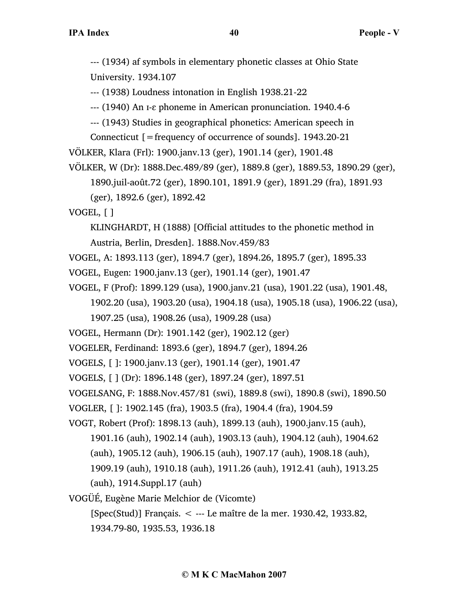--- (1934) af symbols in elementary phonetic classes at Ohio State University. 1934.107

--- (1938) Loudness intonation in English 1938.21-22

--- (1940) An ɪ-ɛ phoneme in American pronunciation. 1940.4-6

--- (1943) Studies in geographical phonetics: American speech in

Connecticut [=frequency of occurrence of sounds]. 1943.20-21

```
VÖLKER, Klara (Frl): 1900.janv.13 (ger), 1901.14 (ger), 1901.48
```
VÖLKER, W (Dr): 1888.Dec.489/89 (ger), 1889.8 (ger), 1889.53, 1890.29 (ger), 1890.juil-août.72 (ger), 1890.101, 1891.9 (ger), 1891.29 (fra), 1891.93 (ger), 1892.6 (ger), 1892.42

VOGEL, [ ]

KLINGHARDT, H (1888) [Official attitudes to the phonetic method in

Austria, Berlin, Dresden]. 1888.Nov.459/83

VOGEL, A: 1893.113 (ger), 1894.7 (ger), 1894.26, 1895.7 (ger), 1895.33

- VOGEL, Eugen: 1900.janv.13 (ger), 1901.14 (ger), 1901.47
- VOGEL, F (Prof): 1899.129 (usa), 1900.janv.21 (usa), 1901.22 (usa), 1901.48,
	- 1902.20 (usa), 1903.20 (usa), 1904.18 (usa), 1905.18 (usa), 1906.22 (usa),

1907.25 (usa), 1908.26 (usa), 1909.28 (usa)

VOGEL, Hermann (Dr): 1901.142 (ger), 1902.12 (ger)

VOGELER, Ferdinand: 1893.6 (ger), 1894.7 (ger), 1894.26

```
VOGELS, [ ]: 1900.janv.13 (ger), 1901.14 (ger), 1901.47
```
VOGELS, [ ] (Dr): 1896.148 (ger), 1897.24 (ger), 1897.51

VOGELSANG, F: 1888.Nov.457/81 (swi), 1889.8 (swi), 1890.8 (swi), 1890.50

VOGLER, [ ]: 1902.145 (fra), 1903.5 (fra), 1904.4 (fra), 1904.59

VOGT, Robert (Prof): 1898.13 (auh), 1899.13 (auh), 1900.janv.15 (auh),

1901.16 (auh), 1902.14 (auh), 1903.13 (auh), 1904.12 (auh), 1904.62

(auh), 1905.12 (auh), 1906.15 (auh), 1907.17 (auh), 1908.18 (auh),

1909.19 (auh), 1910.18 (auh), 1911.26 (auh), 1912.41 (auh), 1913.25 (auh), 1914.Suppl.17 (auh)

VOGÜÉ, Eugène Marie Melchior de (Vicomte)

[Spec(Stud)] Français. < --- Le maître de la mer. 1930.42, 1933.82, 1934.79-80, 1935.53, 1936.18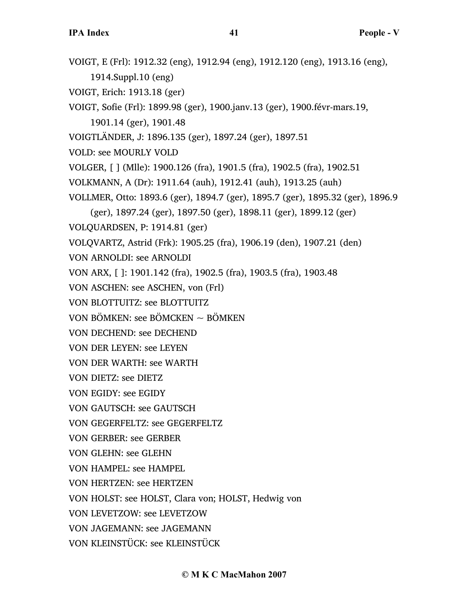- VOIGT, E (Frl): 1912.32 (eng), 1912.94 (eng), 1912.120 (eng), 1913.16 (eng), 1914.Suppl.10 (eng) VOIGT, Erich: 1913.18 (ger) VOIGT, Sofie (Frl): 1899.98 (ger), 1900.janv.13 (ger), 1900.févr-mars.19, 1901.14 (ger), 1901.48 VOIGTLÄNDER, J: 1896.135 (ger), 1897.24 (ger), 1897.51 VOLD: see MOURLY VOLD VOLGER, [ ] (Mlle): 1900.126 (fra), 1901.5 (fra), 1902.5 (fra), 1902.51 VOLKMANN, A (Dr): 1911.64 (auh), 1912.41 (auh), 1913.25 (auh) VOLLMER, Otto: 1893.6 (ger), 1894.7 (ger), 1895.7 (ger), 1895.32 (ger), 1896.9 (ger), 1897.24 (ger), 1897.50 (ger), 1898.11 (ger), 1899.12 (ger) VOLQUARDSEN, P: 1914.81 (ger) VOLQVARTZ, Astrid (Frk): 1905.25 (fra), 1906.19 (den), 1907.21 (den) VON ARNOLDI: see ARNOLDI VON ARX, [ ]: 1901.142 (fra), 1902.5 (fra), 1903.5 (fra), 1903.48 VON ASCHEN: see ASCHEN, von (Frl) VON BLOTTUITZ: see BLOTTUITZ VON BÖMKEN: see BÖMCKEN  $\sim$  BÖMKEN VON DECHEND: see DECHEND VON DER LEYEN: see LEYEN VON DER WARTH: see WARTH VON DIETZ: see DIETZ VON EGIDY: see EGIDY VON GAUTSCH: see GAUTSCH VON GEGERFELTZ: see GEGERFELTZ VON GERBER: see GERBER VON GLEHN: see GLEHN VON HAMPEL: see HAMPEL VON HERTZEN: see HERTZEN VON HOLST: see HOLST, Clara von; HOLST, Hedwig von VON LEVETZOW: see LEVETZOW VON JAGEMANN: see JAGEMANN
- VON KLEINSTÜCK: see KLEINSTÜCK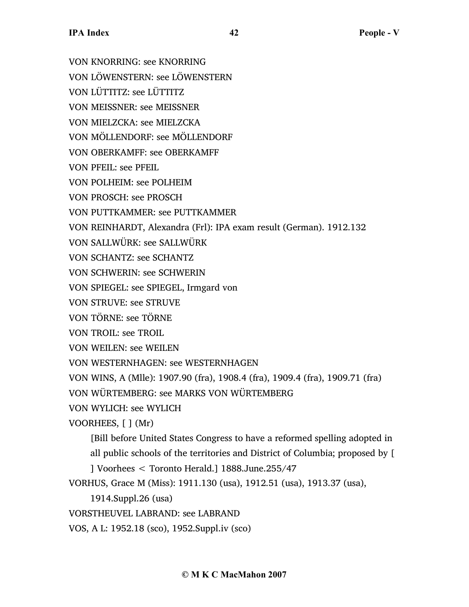VON KNORRING: see KNORRING VON LÖWENSTERN: see LÖWENSTERN VON LÜTTITZ: see LÜTTITZ VON MEISSNER: see MEISSNER VON MIELZCKA: see MIELZCKA VON MÖLLENDORF: see MÖLLENDORF VON OBERKAMFF: see OBERKAMFF VON PFEIL: see PFEIL VON POLHEIM: see POLHEIM VON PROSCH: see PROSCH VON PUTTKAMMER: see PUTTKAMMER VON REINHARDT, Alexandra (Frl): IPA exam result (German). 1912.132 VON SALLWÜRK: see SALLWÜRK VON SCHANTZ: see SCHANTZ VON SCHWERIN: see SCHWERIN VON SPIEGEL: see SPIEGEL, Irmgard von VON STRUVE: see STRUVE VON TÖRNE: see TÖRNE VON TROIL: see TROIL VON WEILEN: see WEILEN VON WESTERNHAGEN: see WESTERNHAGEN VON WINS, A (Mlle): 1907.90 (fra), 1908.4 (fra), 1909.4 (fra), 1909.71 (fra) VON WÜRTEMBERG: see MARKS VON WÜRTEMBERG VON WYLICH: see WYLICH VOORHEES, [ ] (Mr) [Bill before United States Congress to have a reformed spelling adopted in all public schools of the territories and District of Columbia; proposed by [ ] Voorhees < Toronto Herald.] 1888.June.255/47 VORHUS, Grace M (Miss): 1911.130 (usa), 1912.51 (usa), 1913.37 (usa), 1914.Suppl.26 (usa)

VORSTHEUVEL LABRAND: see LABRAND

VOS, A L: 1952.18 (sco), 1952.Suppl.iv (sco)